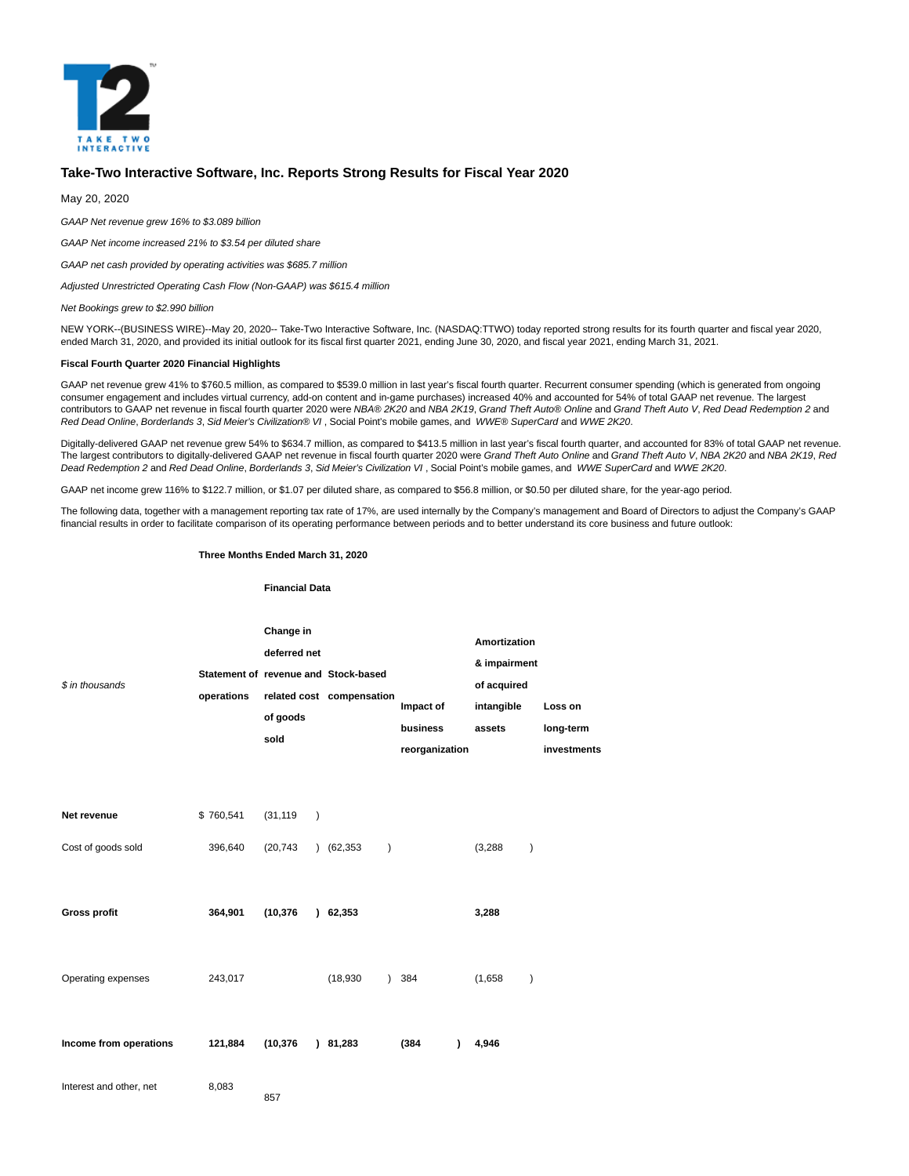

# **Take-Two Interactive Software, Inc. Reports Strong Results for Fiscal Year 2020**

May 20, 2020

GAAP Net revenue grew 16% to \$3.089 billion

GAAP Net income increased 21% to \$3.54 per diluted share

GAAP net cash provided by operating activities was \$685.7 million

Adjusted Unrestricted Operating Cash Flow (Non-GAAP) was \$615.4 million

Net Bookings grew to \$2.990 billion

NEW YORK--(BUSINESS WIRE)--May 20, 2020-- Take-Two Interactive Software, Inc. (NASDAQ:TTWO) today reported strong results for its fourth quarter and fiscal year 2020, ended March 31, 2020, and provided its initial outlook for its fiscal first quarter 2021, ending June 30, 2020, and fiscal year 2021, ending March 31, 2021.

### **Fiscal Fourth Quarter 2020 Financial Highlights**

GAAP net revenue grew 41% to \$760.5 million, as compared to \$539.0 million in last year's fiscal fourth quarter. Recurrent consumer spending (which is generated from ongoing consumer engagement and includes virtual currency, add-on content and in-game purchases) increased 40% and accounted for 54% of total GAAP net revenue. The largest contributors to GAAP net revenue in fiscal fourth quarter 2020 were NBA® 2K20 and NBA 2K19, Grand Theft Auto® Online and Grand Theft Auto V, Red Dead Redemption 2 and Red Dead Online, Borderlands 3, Sid Meier's Civilization® VI , Social Point's mobile games, and WWE® SuperCard and WWE 2K20.

Digitally-delivered GAAP net revenue grew 54% to \$634.7 million, as compared to \$413.5 million in last year's fiscal fourth quarter, and accounted for 83% of total GAAP net revenue. The largest contributors to digitally-delivered GAAP net revenue in fiscal fourth quarter 2020 were Grand Theft Auto Online and Grand Theft Auto V, NBA 2K20 and NBA 2K19, Red Dead Redemption 2 and Red Dead Online, Borderlands 3, Sid Meier's Civilization VI, Social Point's mobile games, and WWE SuperCard and WWE 2K20.

GAAP net income grew 116% to \$122.7 million, or \$1.07 per diluted share, as compared to \$56.8 million, or \$0.50 per diluted share, for the year-ago period.

The following data, together with a management reporting tax rate of 17%, are used internally by the Company's management and Board of Directors to adjust the Company's GAAP financial results in order to facilitate comparison of its operating performance between periods and to better understand its core business and future outlook:

#### **Three Months Ended March 31, 2020**

#### **Financial Data**

| \$ in thousands                   | operations           | Change in<br>deferred net<br>of goods<br>sold |                            | Statement of revenue and Stock-based<br>related cost compensation | Impact of<br>business<br>reorganization | Amortization<br>& impairment<br>of acquired<br>intangible<br>assets |               | Loss on<br>long-term<br>investments |
|-----------------------------------|----------------------|-----------------------------------------------|----------------------------|-------------------------------------------------------------------|-----------------------------------------|---------------------------------------------------------------------|---------------|-------------------------------------|
| Net revenue<br>Cost of goods sold | \$760,541<br>396,640 | (31, 119)<br>(20, 743)                        | $\mathcal{E}$<br>$\lambda$ | (62, 353)<br>$\mathcal{E}$                                        |                                         | (3,288)                                                             | $\mathcal{E}$ |                                     |
| <b>Gross profit</b>               | 364,901              | (10, 376)                                     | λ.                         | 62,353                                                            |                                         | 3,288                                                               |               |                                     |
| Operating expenses                | 243,017              |                                               |                            | (18,930)                                                          | ) 384                                   | (1,658)                                                             | $\mathcal{E}$ |                                     |
| Income from operations            | 121,884              | (10, 376)                                     |                            | 81,283                                                            | (384)<br>1                              | 4,946                                                               |               |                                     |
| Interest and other, net           | 8,083                | 857                                           |                            |                                                                   |                                         |                                                                     |               |                                     |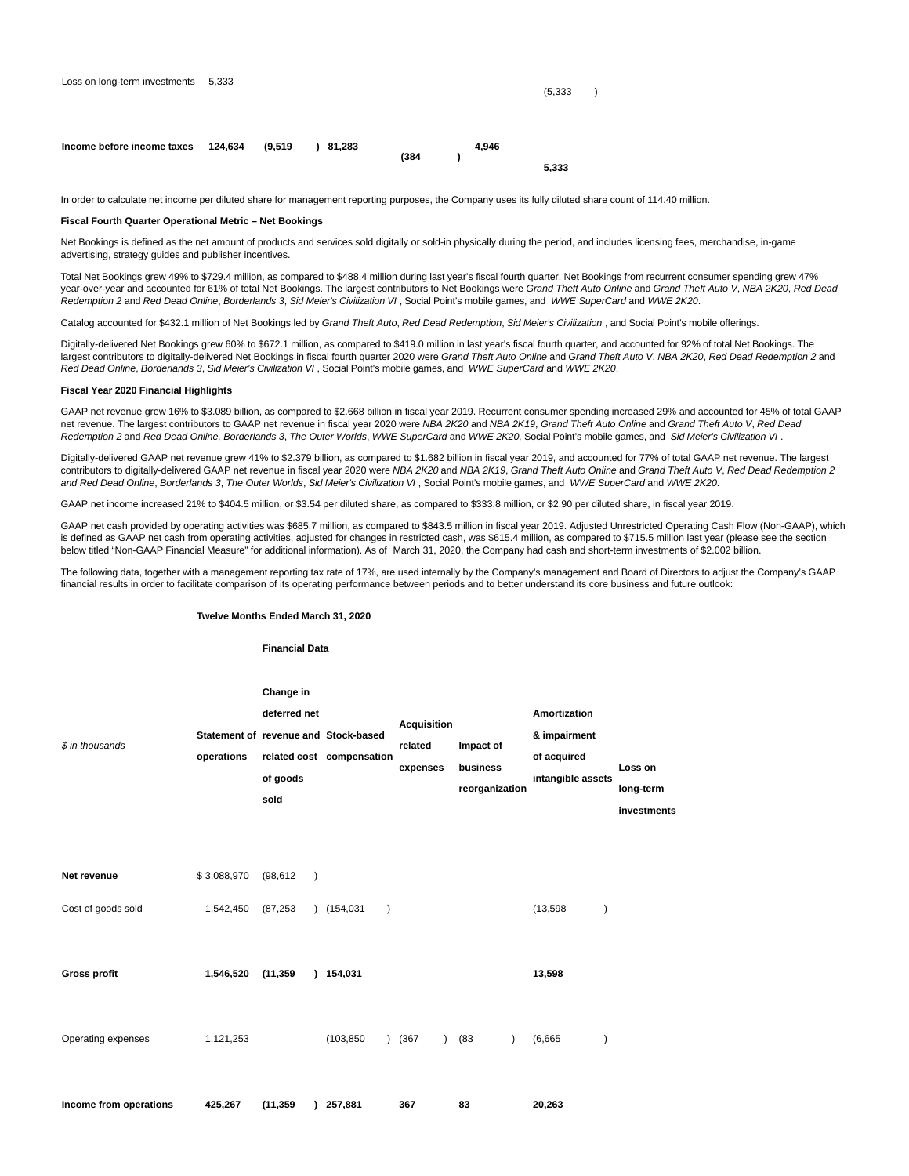$(5,333)$ 

| Income before income taxes $124.634$ $(9.519)$ 81.283 |  |       | 4.946 |       |
|-------------------------------------------------------|--|-------|-------|-------|
|                                                       |  | (384) |       |       |
|                                                       |  |       |       | 5.333 |

In order to calculate net income per diluted share for management reporting purposes, the Company uses its fully diluted share count of 114.40 million.

### **Fiscal Fourth Quarter Operational Metric – Net Bookings**

Net Bookings is defined as the net amount of products and services sold digitally or sold-in physically during the period, and includes licensing fees, merchandise, in-game advertising, strategy guides and publisher incentives.

Total Net Bookings grew 49% to \$729.4 million, as compared to \$488.4 million during last year's fiscal fourth quarter. Net Bookings from recurrent consumer spending grew 47% year-over-year and accounted for 61% of total Net Bookings. The largest contributors to Net Bookings were Grand Theft Auto Online and Grand Theft Auto V, NBA 2K20, Red Dead Redemption 2 and Red Dead Online, Borderlands 3, Sid Meier's Civilization VI , Social Point's mobile games, and WWE SuperCard and WWE 2K20.

Catalog accounted for \$432.1 million of Net Bookings led by Grand Theft Auto. Red Dead Redemption. Sid Meier's Civilization , and Social Point's mobile offerings.

Digitally-delivered Net Bookings grew 60% to \$672.1 million, as compared to \$419.0 million in last year's fiscal fourth quarter, and accounted for 92% of total Net Bookings. The largest contributors to digitally-delivered Net Bookings in fiscal fourth quarter 2020 were Grand Theft Auto Online and Grand Theft Auto V, NBA 2K20, Red Dead Redemption 2 and Red Dead Online, Borderlands 3, Sid Meier's Civilization VI , Social Point's mobile games, and WWE SuperCard and WWE 2K20.

## **Fiscal Year 2020 Financial Highlights**

GAAP net revenue grew 16% to \$3.089 billion, as compared to \$2.668 billion in fiscal year 2019. Recurrent consumer spending increased 29% and accounted for 45% of total GAAP net revenue. The largest contributors to GAAP net revenue in fiscal year 2020 were NBA 2K20 and NBA 2K19, Grand Theft Auto Online and Grand Theft Auto V, Red Dead Redemption 2 and Red Dead Online, Borderlands 3, The Outer Worlds, WWE SuperCard and WWE 2K20, Social Point's mobile games, and Sid Meier's Civilization VI.

Digitally-delivered GAAP net revenue grew 41% to \$2.379 billion, as compared to \$1.682 billion in fiscal year 2019, and accounted for 77% of total GAAP net revenue. The largest contributors to digitally-delivered GAAP net revenue in fiscal year 2020 were NBA 2K20 and NBA 2K19, Grand Theft Auto Online and Grand Theft Auto V, Red Dead Redemption 2 and Red Dead Online, Borderlands 3, The Outer Worlds, Sid Meier's Civilization VI, Social Point's mobile games, and WWE SuperCard and WWE 2K20.

GAAP net income increased 21% to \$404.5 million, or \$3.54 per diluted share, as compared to \$333.8 million, or \$2.90 per diluted share, in fiscal year 2019.

GAAP net cash provided by operating activities was \$685.7 million, as compared to \$843.5 million in fiscal year 2019. Adjusted Unrestricted Operating Cash Flow (Non-GAAP), which is defined as GAAP net cash from operating activities, adjusted for changes in restricted cash, was \$615.4 million, as compared to \$715.5 million last year (please see the section below titled "Non-GAAP Financial Measure" for additional information). As of March 31, 2020, the Company had cash and short-term investments of \$2.002 billion.

The following data, together with a management reporting tax rate of 17%, are used internally by the Company's management and Board of Directors to adjust the Company's GAAP financial results in order to facilitate comparison of its operating performance between periods and to better understand its core business and future outlook:

### **Twelve Months Ended March 31, 2020**

## **Financial Data**

|                        |             | Change in                |              |                                                                   |                                           |                                         |                                                                         |                      |
|------------------------|-------------|--------------------------|--------------|-------------------------------------------------------------------|-------------------------------------------|-----------------------------------------|-------------------------------------------------------------------------|----------------------|
| \$ in thousands        | operations  | deferred net<br>of goods |              | Statement of revenue and Stock-based<br>related cost compensation | <b>Acquisition</b><br>related<br>expenses | Impact of<br>business<br>reorganization | <b>Amortization</b><br>& impairment<br>of acquired<br>intangible assets | Loss on<br>long-term |
| Net revenue            | \$3,088,970 | sold<br>(98, 612)        | $\lambda$    |                                                                   |                                           |                                         |                                                                         | investments          |
| Cost of goods sold     | 1,542,450   | (87, 253)                | $\lambda$    | (154, 031)<br>$\lambda$                                           |                                           |                                         | (13,598)<br>$\mathcal{E}$                                               |                      |
| <b>Gross profit</b>    | 1,546,520   | (11, 359)                | $\mathbf{L}$ | 154,031                                                           |                                           |                                         | 13,598                                                                  |                      |
| Operating expenses     | 1,121,253   |                          |              | (103, 850)<br>$\lambda$                                           | (367)<br>$\mathcal{L}$                    | (83)<br>$\lambda$                       | (6,665)<br>$\lambda$                                                    |                      |
| Income from operations | 425.267     | (11, 359)                |              | 257,881                                                           | 367                                       | 83                                      | 20.263                                                                  |                      |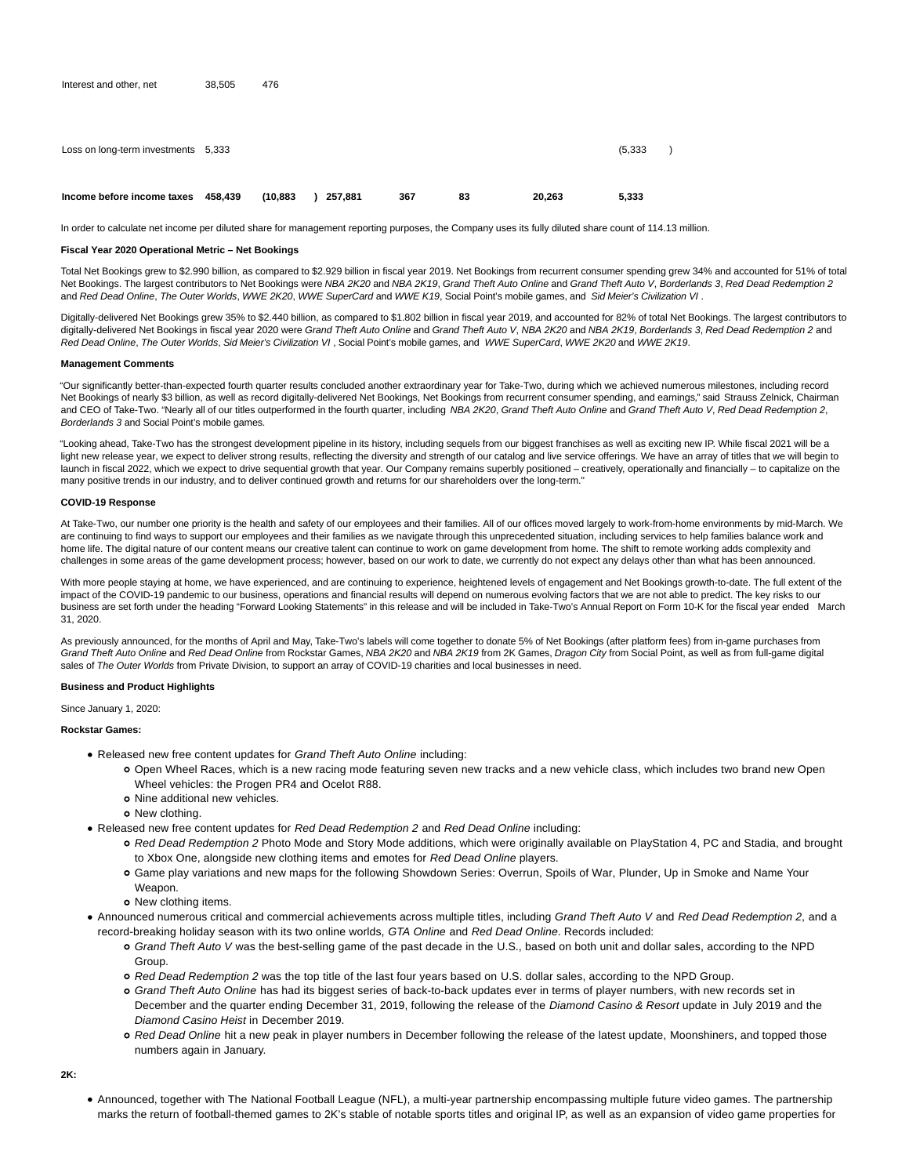| Income before income taxes          | 458.439 | (10.883) | 257.881 | 367 | 83 | 20.263 | 5.333    |  |
|-------------------------------------|---------|----------|---------|-----|----|--------|----------|--|
| Loss on long-term investments 5,333 |         |          |         |     |    |        | (5, 333) |  |
| Interest and other, net             | 38,505  | 476      |         |     |    |        |          |  |

In order to calculate net income per diluted share for management reporting purposes, the Company uses its fully diluted share count of 114.13 million.

### **Fiscal Year 2020 Operational Metric – Net Bookings**

Total Net Bookings grew to \$2.990 billion, as compared to \$2.929 billion in fiscal year 2019. Net Bookings from recurrent consumer spending grew 34% and accounted for 51% of total Net Bookings. The largest contributors to Net Bookings were NBA 2K20 and NBA 2K19, Grand Theft Auto Online and Grand Theft Auto V, Borderlands 3, Red Dead Redemption 2 and Red Dead Online, The Outer Worlds, WWE 2K20, WWE SuperCard and WWE K19, Social Point's mobile games, and Sid Meier's Civilization VI.

Digitally-delivered Net Bookings grew 35% to \$2.440 billion, as compared to \$1.802 billion in fiscal year 2019, and accounted for 82% of total Net Bookings. The largest contributors to digitally-delivered Net Bookings in fiscal year 2020 were Grand Theft Auto Online and Grand Theft Auto V, NBA 2K20 and NBA 2K19, Borderlands 3, Red Dead Redemption 2 and Red Dead Online, The Outer Worlds, Sid Meier's Civilization VI , Social Point's mobile games, and WWE SuperCard, WWE 2K20 and WWE 2K19.

### **Management Comments**

"Our significantly better-than-expected fourth quarter results concluded another extraordinary year for Take-Two, during which we achieved numerous milestones, including record Net Bookings of nearly \$3 billion, as well as record digitally-delivered Net Bookings, Net Bookings from recurrent consumer spending, and earnings," said Strauss Zelnick, Chairman and CEO of Take-Two. "Nearly all of our titles outperformed in the fourth quarter, including NBA 2K20, Grand Theft Auto Online and Grand Theft Auto V, Red Dead Redemption 2, Borderlands 3 and Social Point's mobile games.

"Looking ahead, Take-Two has the strongest development pipeline in its history, including sequels from our biggest franchises as well as exciting new IP. While fiscal 2021 will be a light new release year, we expect to deliver strong results, reflecting the diversity and strength of our catalog and live service offerings. We have an array of titles that we will begin to launch in fiscal 2022, which we expect to drive sequential growth that year. Our Company remains superbly positioned – creatively, operationally and financially – to capitalize on the many positive trends in our industry, and to deliver continued growth and returns for our shareholders over the long-term."

#### **COVID-19 Response**

At Take-Two, our number one priority is the health and safety of our employees and their families. All of our offices moved largely to work-from-home environments by mid-March. We are continuing to find ways to support our employees and their families as we navigate through this unprecedented situation, including services to help families balance work and home life. The digital nature of our content means our creative talent can continue to work on game development from home. The shift to remote working adds complexity and challenges in some areas of the game development process; however, based on our work to date, we currently do not expect any delays other than what has been announced.

With more people staying at home, we have experienced, and are continuing to experience, heightened levels of engagement and Net Bookings growth-to-date. The full extent of the impact of the COVID-19 pandemic to our business, operations and financial results will depend on numerous evolving factors that we are not able to predict. The key risks to our business are set forth under the heading "Forward Looking Statements" in this release and will be included in Take-Two's Annual Report on Form 10-K for the fiscal year ended March 31, 2020.

As previously announced, for the months of April and May, Take-Two's labels will come together to donate 5% of Net Bookings (after platform fees) from in-game purchases from Grand Theft Auto Online and Red Dead Online from Rockstar Games, NBA 2K20 and NBA 2K19 from 2K Games, Dragon City from Social Point, as well as from full-game digital sales of The Outer Worlds from Private Division, to support an array of COVID-19 charities and local businesses in need.

## **Business and Product Highlights**

## Since January 1, 2020:

**Rockstar Games:**

- Released new free content updates for Grand Theft Auto Online including:
	- Open Wheel Races, which is a new racing mode featuring seven new tracks and a new vehicle class, which includes two brand new Open Wheel vehicles: the Progen PR4 and Ocelot R88.
	- o Nine additional new vehicles.
	- o New clothing.
- Released new free content updates for Red Dead Redemption 2 and Red Dead Online including:
	- o Red Dead Redemption 2 Photo Mode and Story Mode additions, which were originally available on PlayStation 4, PC and Stadia, and brought to Xbox One, alongside new clothing items and emotes for Red Dead Online players.
	- Game play variations and new maps for the following Showdown Series: Overrun, Spoils of War, Plunder, Up in Smoke and Name Your Weapon.
	- o New clothing items.
- Announced numerous critical and commercial achievements across multiple titles, including Grand Theft Auto V and Red Dead Redemption 2, and a record-breaking holiday season with its two online worlds, GTA Online and Red Dead Online. Records included:
	- Grand Theft Auto V was the best-selling game of the past decade in the U.S., based on both unit and dollar sales, according to the NPD Group.
	- Red Dead Redemption 2 was the top title of the last four years based on U.S. dollar sales, according to the NPD Group.
	- Grand Theft Auto Online has had its biggest series of back-to-back updates ever in terms of player numbers, with new records set in December and the quarter ending December 31, 2019, following the release of the Diamond Casino & Resort update in July 2019 and the Diamond Casino Heist in December 2019.
	- o Red Dead Online hit a new peak in player numbers in December following the release of the latest update, Moonshiners, and topped those numbers again in January.

**2K:**

Announced, together with The National Football League (NFL), a multi-year partnership encompassing multiple future video games. The partnership marks the return of football-themed games to 2K's stable of notable sports titles and original IP, as well as an expansion of video game properties for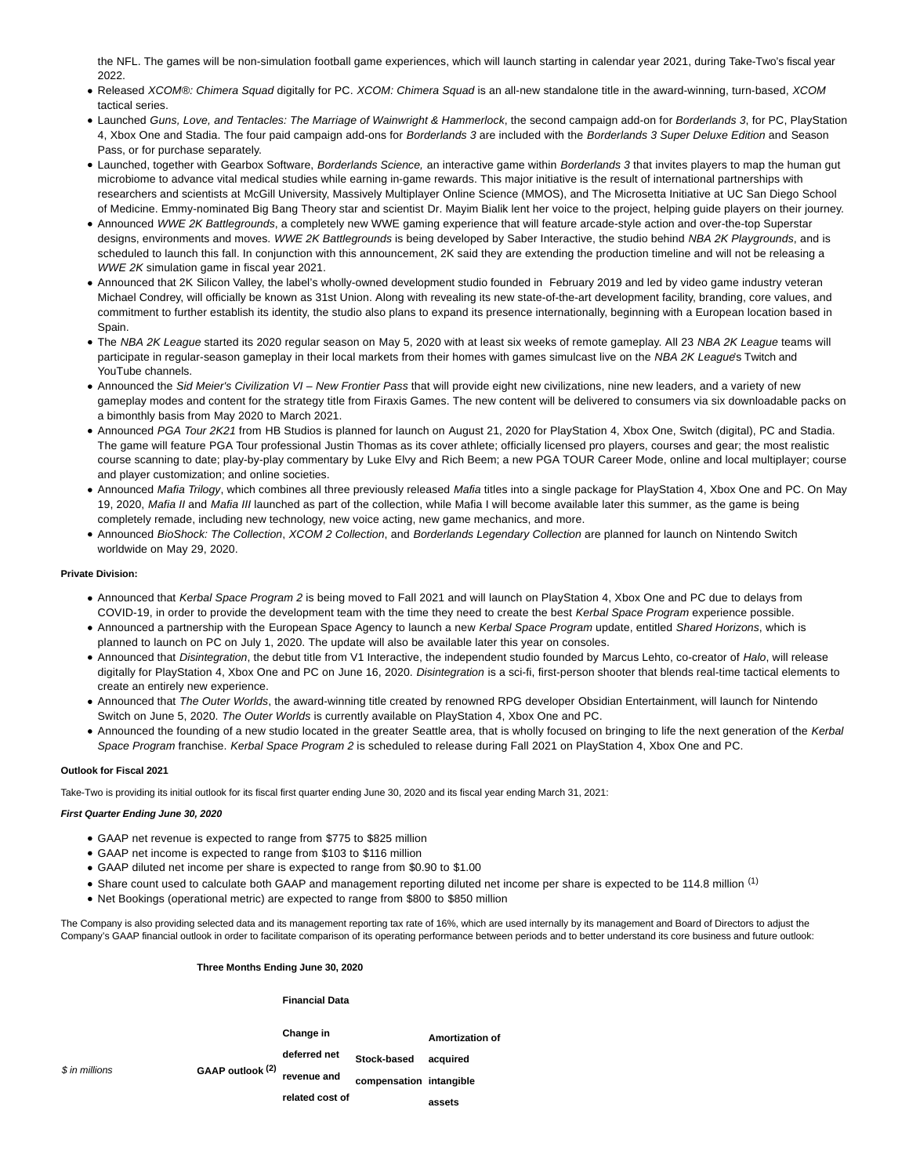the NFL. The games will be non-simulation football game experiences, which will launch starting in calendar year 2021, during Take-Two's fiscal year 2022.

- Released XCOM®: Chimera Squad digitally for PC. XCOM: Chimera Squad is an all-new standalone title in the award-winning, turn-based, XCOM tactical series.
- Launched Guns, Love, and Tentacles: The Marriage of Wainwright & Hammerlock, the second campaign add-on for Borderlands 3, for PC, PlayStation 4, Xbox One and Stadia. The four paid campaign add-ons for Borderlands 3 are included with the Borderlands 3 Super Deluxe Edition and Season Pass, or for purchase separately.
- Launched, together with Gearbox Software, Borderlands Science, an interactive game within Borderlands 3 that invites players to map the human gut microbiome to advance vital medical studies while earning in-game rewards. This major initiative is the result of international partnerships with researchers and scientists at McGill University, Massively Multiplayer Online Science (MMOS), and The Microsetta Initiative at UC San Diego School of Medicine. Emmy-nominated Big Bang Theory star and scientist Dr. Mayim Bialik lent her voice to the project, helping guide players on their journey.
- Announced WWE 2K Battlegrounds, a completely new WWE gaming experience that will feature arcade-style action and over-the-top Superstar designs, environments and moves. WWE 2K Battlegrounds is being developed by Saber Interactive, the studio behind NBA 2K Playgrounds, and is scheduled to launch this fall. In conjunction with this announcement, 2K said they are extending the production timeline and will not be releasing a WWE 2K simulation game in fiscal year 2021.
- Announced that 2K Silicon Valley, the label's wholly-owned development studio founded in February 2019 and led by video game industry veteran Michael Condrey, will officially be known as 31st Union. Along with revealing its new state-of-the-art development facility, branding, core values, and commitment to further establish its identity, the studio also plans to expand its presence internationally, beginning with a European location based in Spain.
- The NBA 2K League started its 2020 regular season on May 5, 2020 with at least six weeks of remote gameplay. All 23 NBA 2K League teams will participate in regular-season gameplay in their local markets from their homes with games simulcast live on the NBA 2K League's Twitch and YouTube channels.
- Announced the Sid Meier's Civilization VI New Frontier Pass that will provide eight new civilizations, nine new leaders, and a variety of new gameplay modes and content for the strategy title from Firaxis Games. The new content will be delivered to consumers via six downloadable packs on a bimonthly basis from May 2020 to March 2021.
- Announced PGA Tour 2K21 from HB Studios is planned for launch on August 21, 2020 for PlayStation 4, Xbox One, Switch (digital), PC and Stadia. The game will feature PGA Tour professional Justin Thomas as its cover athlete; officially licensed pro players, courses and gear; the most realistic course scanning to date; play-by-play commentary by Luke Elvy and Rich Beem; a new PGA TOUR Career Mode, online and local multiplayer; course and player customization; and online societies.
- Announced Mafia Trilogy, which combines all three previously released Mafia titles into a single package for PlayStation 4, Xbox One and PC. On May 19, 2020, Mafia II and Mafia III launched as part of the collection, while Mafia I will become available later this summer, as the game is being completely remade, including new technology, new voice acting, new game mechanics, and more.
- Announced BioShock: The Collection, XCOM 2 Collection, and Borderlands Legendary Collection are planned for launch on Nintendo Switch worldwide on May 29, 2020.

## **Private Division:**

- Announced that Kerbal Space Program 2 is being moved to Fall 2021 and will launch on PlayStation 4, Xbox One and PC due to delays from COVID-19, in order to provide the development team with the time they need to create the best Kerbal Space Program experience possible.
- Announced a partnership with the European Space Agency to launch a new Kerbal Space Program update, entitled Shared Horizons, which is planned to launch on PC on July 1, 2020. The update will also be available later this year on consoles.
- Announced that Disintegration, the debut title from V1 Interactive, the independent studio founded by Marcus Lehto, co-creator of Halo, will release digitally for PlayStation 4, Xbox One and PC on June 16, 2020. Disintegration is a sci-fi, first-person shooter that blends real-time tactical elements to create an entirely new experience.
- . Announced that The Outer Worlds, the award-winning title created by renowned RPG developer Obsidian Entertainment, will launch for Nintendo Switch on June 5, 2020. The Outer Worlds is currently available on PlayStation 4, Xbox One and PC.
- Announced the founding of a new studio located in the greater Seattle area, that is wholly focused on bringing to life the next generation of the Kerbal Space Program franchise. Kerbal Space Program 2 is scheduled to release during Fall 2021 on PlayStation 4, Xbox One and PC.

## **Outlook for Fiscal 2021**

Take-Two is providing its initial outlook for its fiscal first quarter ending June 30, 2020 and its fiscal year ending March 31, 2021:

## **First Quarter Ending June 30, 2020**

- GAAP net revenue is expected to range from \$775 to \$825 million
- GAAP net income is expected to range from \$103 to \$116 million
- GAAP diluted net income per share is expected to range from \$0.90 to \$1.00
- Share count used to calculate both GAAP and management reporting diluted net income per share is expected to be 114.8 million (1)
- Net Bookings (operational metric) are expected to range from \$800 to \$850 million

**Financial Data**

The Company is also providing selected data and its management reporting tax rate of 16%, which are used internally by its management and Board of Directors to adjust the Company's GAAP financial outlook in order to facilitate comparison of its operating performance between periods and to better understand its core business and future outlook:

## **Three Months Ending June 30, 2020**

\$ in millions **GAAP outlook (2) Change in deferred net revenue and related cost of Stock-based acquired compensation intangible Amortization of assets**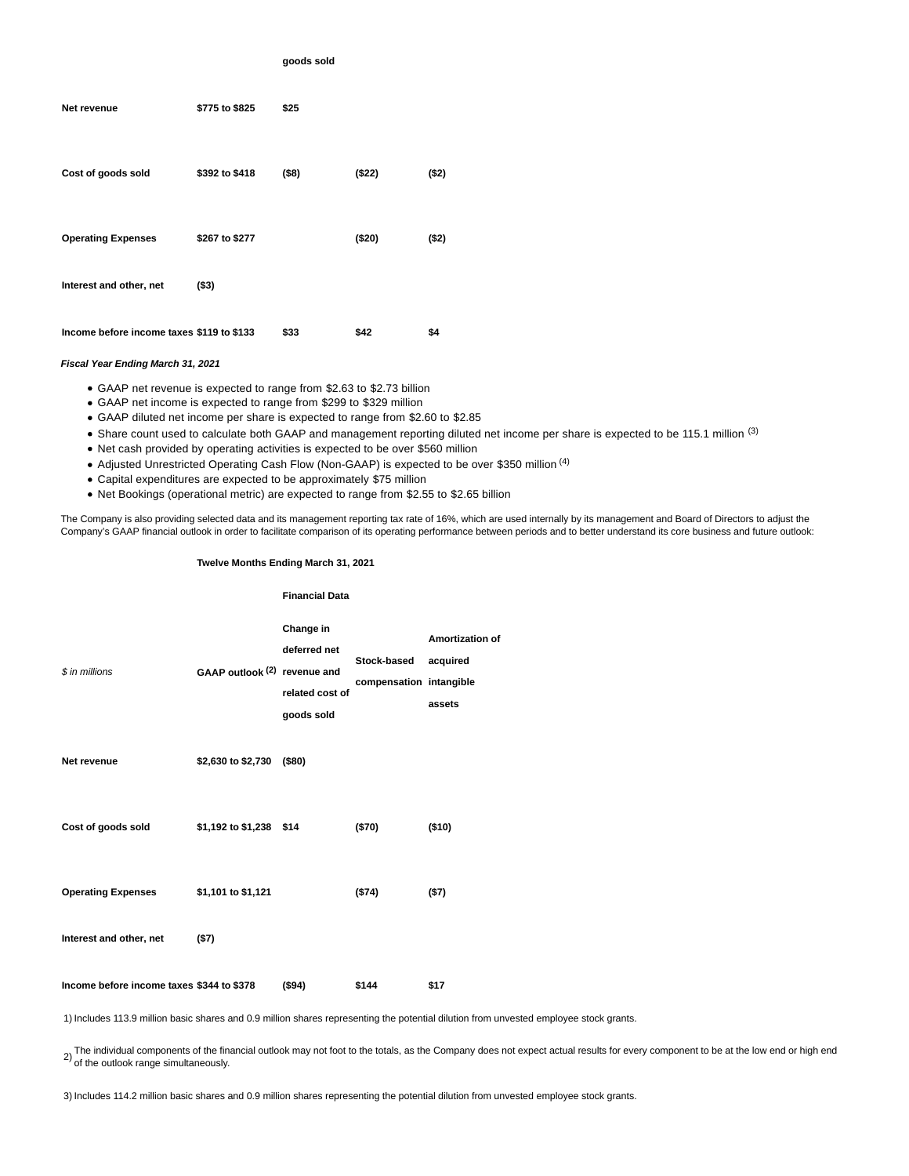|                                           |                | goods sold |         |        |
|-------------------------------------------|----------------|------------|---------|--------|
| Net revenue                               | \$775 to \$825 | \$25       |         |        |
| Cost of goods sold                        | \$392 to \$418 | $($ \$8)   | ( \$22) | ( \$2) |
| <b>Operating Expenses</b>                 | \$267 to \$277 |            | (\$20)  | ( \$2) |
| Interest and other, net                   | ( \$3)         |            |         |        |
| Income before income taxes \$119 to \$133 |                | \$33       | \$42    | \$4    |

# **Fiscal Year Ending March 31, 2021**

- GAAP net revenue is expected to range from \$2.63 to \$2.73 billion
- GAAP net income is expected to range from \$299 to \$329 million
- GAAP diluted net income per share is expected to range from \$2.60 to \$2.85
- Share count used to calculate both GAAP and management reporting diluted net income per share is expected to be 115.1 million (3)
- Net cash provided by operating activities is expected to be over \$560 million
- Adjusted Unrestricted Operating Cash Flow (Non-GAAP) is expected to be over \$350 million <sup>(4)</sup>
- Capital expenditures are expected to be approximately \$75 million
- Net Bookings (operational metric) are expected to range from \$2.55 to \$2.65 billion

The Company is also providing selected data and its management reporting tax rate of 16%, which are used internally by its management and Board of Directors to adjust the Company's GAAP financial outlook in order to facilitate comparison of its operating performance between periods and to better understand its core business and future outlook:

## **Twelve Months Ending March 31, 2021**

**Financial Data**

|                                           |                              | Filialitial Dala                                           |                                        |                                              |
|-------------------------------------------|------------------------------|------------------------------------------------------------|----------------------------------------|----------------------------------------------|
| \$ in millions                            | GAAP outlook (2) revenue and | Change in<br>deferred net<br>related cost of<br>goods sold | Stock-based<br>compensation intangible | <b>Amortization of</b><br>acquired<br>assets |
| Net revenue                               | \$2,630 to \$2,730           | (\$80)                                                     |                                        |                                              |
| Cost of goods sold                        | \$1,192 to \$1,238 \$14      |                                                            | (\$70)                                 | (\$10)                                       |
| <b>Operating Expenses</b>                 | \$1,101 to \$1,121           |                                                            | (\$74)                                 | (57)                                         |
| Interest and other, net                   | (57)                         |                                                            |                                        |                                              |
| Income before income taxes \$344 to \$378 |                              | ( \$94)                                                    | \$144                                  | \$17                                         |

1) Includes 113.9 million basic shares and 0.9 million shares representing the potential dilution from unvested employee stock grants.

2) The individual components of the financial outlook may not foot to the totals, as the Company does not expect actual results for every component to be at the low end or high end<br><sup>2)</sup> of the outlook range simultaneously.

3) Includes 114.2 million basic shares and 0.9 million shares representing the potential dilution from unvested employee stock grants.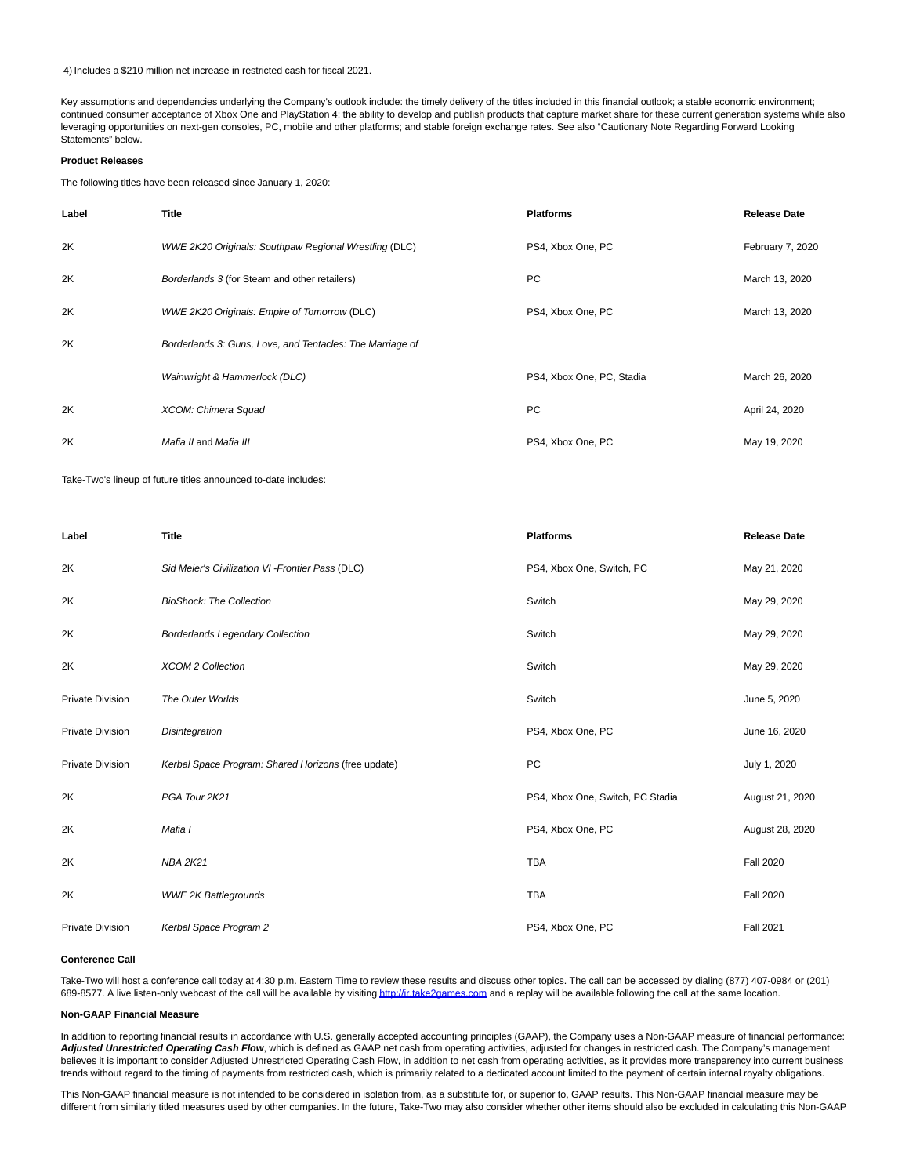4) Includes a \$210 million net increase in restricted cash for fiscal 2021.

Key assumptions and dependencies underlying the Company's outlook include: the timely delivery of the titles included in this financial outlook; a stable economic environment; continued consumer acceptance of Xbox One and PlayStation 4; the ability to develop and publish products that capture market share for these current generation systems while also leveraging opportunities on next-gen consoles, PC, mobile and other platforms; and stable foreign exchange rates. See also "Cautionary Note Regarding Forward Looking Statements" below.

## **Product Releases**

The following titles have been released since January 1, 2020:

| Label | <b>Title</b>                                                 | <b>Platforms</b>          | <b>Release Date</b> |
|-------|--------------------------------------------------------------|---------------------------|---------------------|
| 2K    | <b>WWE 2K20 Originals: Southpaw Regional Wrestling (DLC)</b> | PS4, Xbox One, PC         | February 7, 2020    |
| 2K    | Borderlands 3 (for Steam and other retailers)                | <b>PC</b>                 | March 13, 2020      |
| 2K    | <b>WWE 2K20 Originals: Empire of Tomorrow (DLC)</b>          | PS4, Xbox One, PC         | March 13, 2020      |
| 2K    | Borderlands 3: Guns, Love, and Tentacles: The Marriage of    |                           |                     |
|       | Wainwright & Hammerlock (DLC)                                | PS4, Xbox One, PC, Stadia | March 26, 2020      |
| 2K    | XCOM: Chimera Squad                                          | <b>PC</b>                 | April 24, 2020      |
| 2K    | Mafia II and Mafia III                                       | PS4, Xbox One, PC         | May 19, 2020        |

Take-Two's lineup of future titles announced to-date includes:

| Label                   | <b>Title</b>                                        | <b>Platforms</b>                 | <b>Release Date</b> |
|-------------------------|-----------------------------------------------------|----------------------------------|---------------------|
| 2K                      | Sid Meier's Civilization VI - Frontier Pass (DLC)   | PS4, Xbox One, Switch, PC        | May 21, 2020        |
| 2K                      | <b>BioShock: The Collection</b>                     | Switch                           | May 29, 2020        |
| 2K                      | <b>Borderlands Legendary Collection</b>             | Switch                           | May 29, 2020        |
| 2K                      | <b>XCOM 2 Collection</b>                            | Switch                           | May 29, 2020        |
| <b>Private Division</b> | The Outer Worlds                                    | Switch                           | June 5, 2020        |
| <b>Private Division</b> | Disintegration                                      | PS4, Xbox One, PC                | June 16, 2020       |
| <b>Private Division</b> | Kerbal Space Program: Shared Horizons (free update) | PC                               | July 1, 2020        |
| 2K                      | PGA Tour 2K21                                       | PS4, Xbox One, Switch, PC Stadia | August 21, 2020     |
| 2K                      | Mafia I                                             | PS4, Xbox One, PC                | August 28, 2020     |
| 2K                      | <b>NBA 2K21</b>                                     | <b>TBA</b>                       | <b>Fall 2020</b>    |
| 2K                      | <b>WWE 2K Battlegrounds</b>                         | <b>TBA</b>                       | <b>Fall 2020</b>    |
| <b>Private Division</b> | Kerbal Space Program 2                              | PS4, Xbox One, PC                | <b>Fall 2021</b>    |

#### **Conference Call**

Take-Two will host a conference call today at 4:30 p.m. Eastern Time to review these results and discuss other topics. The call can be accessed by dialing (877) 407-0984 or (201) 689-8577. A live listen-only webcast of the call will be available by visitin[g http://ir.take2games.com a](https://cts.businesswire.com/ct/CT?id=smartlink&url=http%3A%2F%2Fir.take2games.com&esheet=52223665&newsitemid=20200520005794&lan=en-US&anchor=http%3A%2F%2Fir.take2games.com&index=1&md5=4d61a0c277215c76d15fb49616bb1932)nd a replay will be available following the call at the same location.

## **Non-GAAP Financial Measure**

In addition to reporting financial results in accordance with U.S. generally accepted accounting principles (GAAP), the Company uses a Non-GAAP measure of financial performance: Adjusted Unrestricted Operating Cash Flow, which is defined as GAAP net cash from operating activities, adjusted for changes in restricted cash. The Company's management believes it is important to consider Adjusted Unrestricted Operating Cash Flow, in addition to net cash from operating activities, as it provides more transparency into current business trends without regard to the timing of payments from restricted cash, which is primarily related to a dedicated account limited to the payment of certain internal royalty obligations.

This Non-GAAP financial measure is not intended to be considered in isolation from, as a substitute for, or superior to, GAAP results. This Non-GAAP financial measure may be different from similarly titled measures used by other companies. In the future, Take-Two may also consider whether other items should also be excluded in calculating this Non-GAAP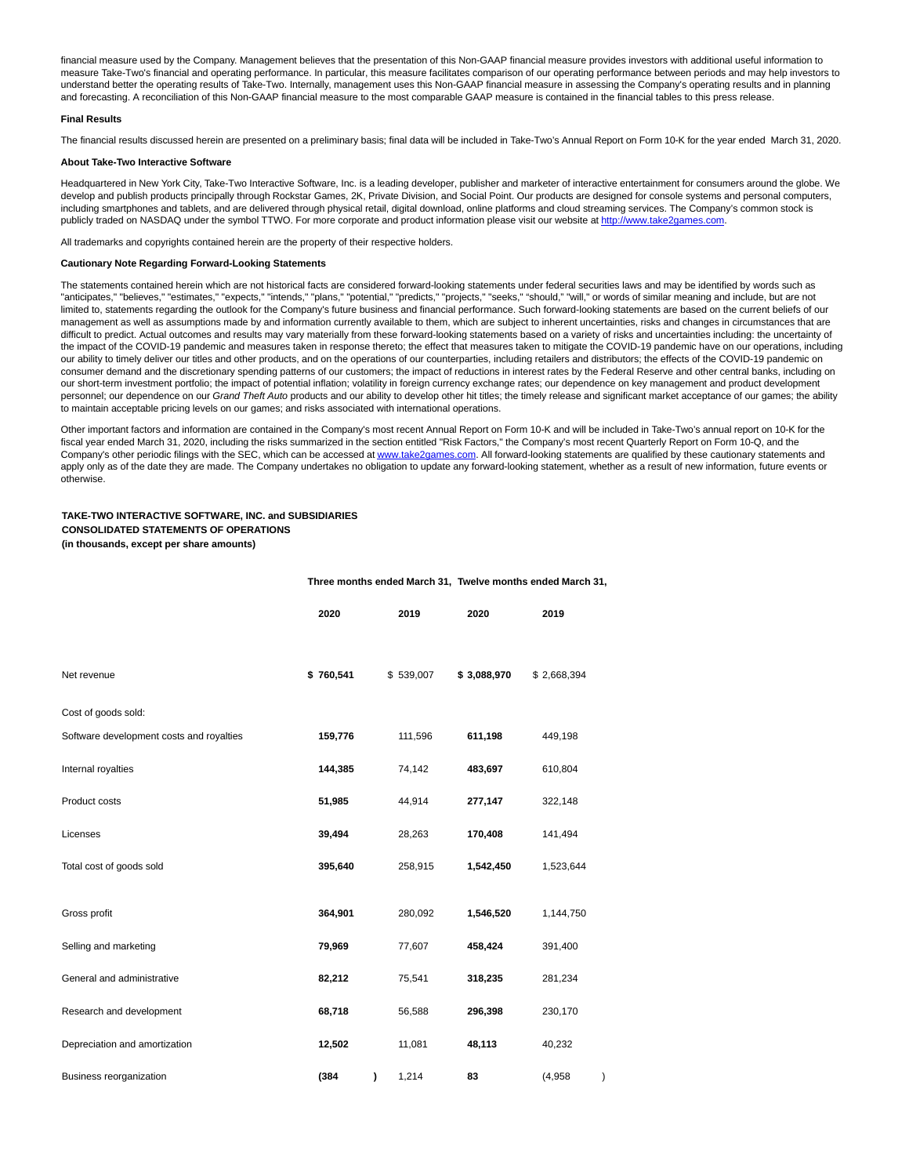financial measure used by the Company. Management believes that the presentation of this Non-GAAP financial measure provides investors with additional useful information to measure Take-Two's financial and operating performance. In particular, this measure facilitates comparison of our operating performance between periods and may help investors to understand better the operating results of Take-Two. Internally, management uses this Non-GAAP financial measure in assessing the Company's operating results and in planning and forecasting. A reconciliation of this Non-GAAP financial measure to the most comparable GAAP measure is contained in the financial tables to this press release.

## **Final Results**

The financial results discussed herein are presented on a preliminary basis; final data will be included in Take-Two's Annual Report on Form 10-K for the year ended March 31, 2020.

## **About Take-Two Interactive Software**

Headquartered in New York City, Take-Two Interactive Software, Inc. is a leading developer, publisher and marketer of interactive entertainment for consumers around the globe. We develop and publish products principally through Rockstar Games, 2K, Private Division, and Social Point. Our products are designed for console systems and personal computers, including smartphones and tablets, and are delivered through physical retail, digital download, online platforms and cloud streaming services. The Company's common stock is publicly traded on NASDAQ under the symbol TTWO. For more corporate and product information please visit our website a[t http://www.take2games.com.](https://cts.businesswire.com/ct/CT?id=smartlink&url=http%3A%2F%2Fwww.take2games.com&esheet=52223665&newsitemid=20200520005794&lan=en-US&anchor=http%3A%2F%2Fwww.take2games.com&index=2&md5=0d5254d528b1068a7d7404ab17d78247)

All trademarks and copyrights contained herein are the property of their respective holders.

## **Cautionary Note Regarding Forward-Looking Statements**

The statements contained herein which are not historical facts are considered forward-looking statements under federal securities laws and may be identified by words such as "anticipates," "believes," "estimates," "expects," "intends," "plans," "potential," "predicts," "projects," "seeks," "should," "will," or words of similar meaning and include, but are not limited to, statements regarding the outlook for the Company's future business and financial performance. Such forward-looking statements are based on the current beliefs of our management as well as assumptions made by and information currently available to them, which are subject to inherent uncertainties, risks and changes in circumstances that are difficult to predict. Actual outcomes and results may vary materially from these forward-looking statements based on a variety of risks and uncertainties including: the uncertainty of the impact of the COVID-19 pandemic and measures taken in response thereto; the effect that measures taken to mitigate the COVID-19 pandemic have on our operations, including our ability to timely deliver our titles and other products, and on the operations of our counterparties, including retailers and distributors; the effects of the COVID-19 pandemic on consumer demand and the discretionary spending patterns of our customers; the impact of reductions in interest rates by the Federal Reserve and other central banks, including on our short-term investment portfolio; the impact of potential inflation; volatility in foreign currency exchange rates; our dependence on key management and product development personnel; our dependence on our Grand Theft Auto products and our ability to develop other hit titles; the timely release and significant market acceptance of our games; the ability to maintain acceptable pricing levels on our games; and risks associated with international operations.

Other important factors and information are contained in the Company's most recent Annual Report on Form 10-K and will be included in Take-Two's annual report on 10-K for the fiscal year ended March 31, 2020, including the risks summarized in the section entitled "Risk Factors," the Company's most recent Quarterly Report on Form 10-Q, and the Company's other periodic filings with the SEC, which can be accessed at [www.take2games.com.](https://cts.businesswire.com/ct/CT?id=smartlink&url=http%3A%2F%2Fwww.take2games.com&esheet=52223665&newsitemid=20200520005794&lan=en-US&anchor=www.take2games.com&index=3&md5=5b38cdacb27c51b0257f3c807699f487) All forward-looking statements are qualified by these cautionary statements and apply only as of the date they are made. The Company undertakes no obligation to update any forward-looking statement, whether as a result of new information, future events or otherwise.

## **TAKE-TWO INTERACTIVE SOFTWARE, INC. and SUBSIDIARIES CONSOLIDATED STATEMENTS OF OPERATIONS (in thousands, except per share amounts)**

### **Three months ended March 31, Twelve months ended March 31,**

|                                          | 2020      | 2019       | 2020        | 2019        |  |
|------------------------------------------|-----------|------------|-------------|-------------|--|
| Net revenue                              | \$760,541 | \$539,007  | \$3,088,970 | \$2,668,394 |  |
| Cost of goods sold:                      |           |            |             |             |  |
| Software development costs and royalties | 159,776   | 111,596    | 611,198     | 449,198     |  |
| Internal royalties                       | 144,385   | 74,142     | 483,697     | 610,804     |  |
| Product costs                            | 51,985    | 44,914     | 277,147     | 322,148     |  |
| Licenses                                 | 39,494    | 28,263     | 170,408     | 141,494     |  |
| Total cost of goods sold                 | 395,640   | 258,915    | 1,542,450   | 1,523,644   |  |
| Gross profit                             | 364,901   | 280,092    | 1,546,520   | 1,144,750   |  |
| Selling and marketing                    | 79,969    | 77,607     | 458,424     | 391,400     |  |
| General and administrative               | 82,212    | 75,541     | 318,235     | 281,234     |  |
| Research and development                 | 68,718    | 56,588     | 296,398     | 230,170     |  |
| Depreciation and amortization            | 12,502    | 11,081     | 48,113      | 40,232      |  |
| Business reorganization                  | (384)     | 1,214<br>) | 83          | (4,958)     |  |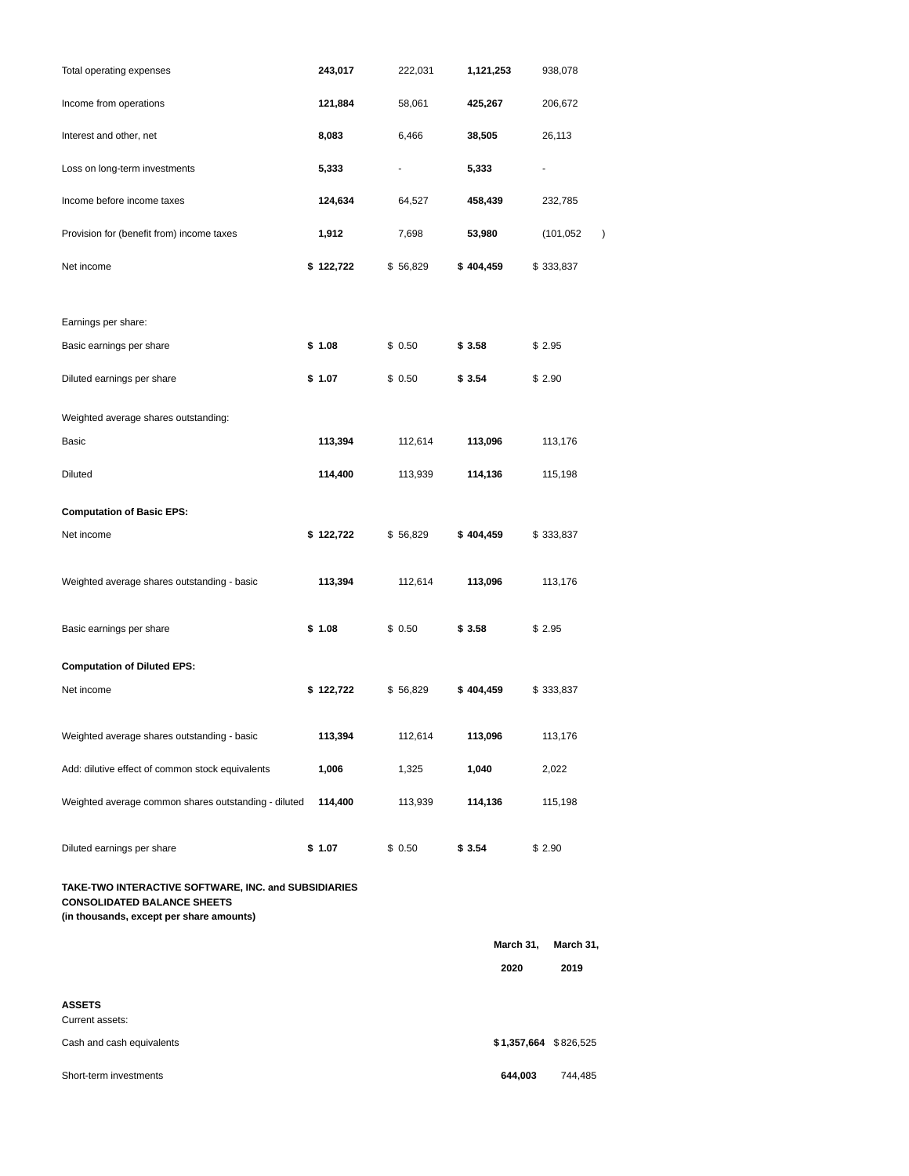| Total operating expenses                                                                   | 243,017   | 222,031  | 1,121,253 |           | 938,078                   |
|--------------------------------------------------------------------------------------------|-----------|----------|-----------|-----------|---------------------------|
| Income from operations                                                                     | 121,884   | 58,061   | 425,267   |           | 206,672                   |
| Interest and other, net                                                                    | 8,083     | 6,466    | 38,505    |           | 26,113                    |
| Loss on long-term investments                                                              | 5,333     |          | 5,333     |           |                           |
| Income before income taxes                                                                 | 124,634   | 64,527   | 458,439   |           | 232,785                   |
| Provision for (benefit from) income taxes                                                  | 1,912     | 7,698    | 53,980    |           | (101,052<br>$\mathcal{E}$ |
| Net income                                                                                 | \$122,722 | \$56,829 | \$404,459 |           | \$333,837                 |
| Earnings per share:                                                                        |           |          |           |           |                           |
| Basic earnings per share                                                                   | \$1.08    | \$0.50   | \$ 3.58   |           | \$2.95                    |
| Diluted earnings per share                                                                 | \$1.07    | \$0.50   | \$ 3.54   |           | \$2.90                    |
| Weighted average shares outstanding:                                                       |           |          |           |           |                           |
| Basic                                                                                      | 113,394   | 112,614  | 113,096   |           | 113,176                   |
| Diluted                                                                                    | 114,400   | 113,939  | 114,136   |           | 115,198                   |
| <b>Computation of Basic EPS:</b>                                                           |           |          |           |           |                           |
| Net income                                                                                 | \$122,722 | \$56,829 | \$404,459 |           | \$333,837                 |
| Weighted average shares outstanding - basic                                                | 113,394   | 112,614  | 113,096   |           | 113,176                   |
| Basic earnings per share                                                                   | \$1.08    | \$0.50   | \$ 3.58   |           | \$2.95                    |
| <b>Computation of Diluted EPS:</b>                                                         |           |          |           |           |                           |
| Net income                                                                                 | \$122,722 | \$56,829 | \$404,459 |           | \$333,837                 |
| Weighted average shares outstanding - basic                                                | 113,394   | 112,614  | 113,096   |           | 113,176                   |
| Add: dilutive effect of common stock equivalents                                           | 1,006     | 1,325    | 1,040     |           | 2,022                     |
| Weighted average common shares outstanding - diluted                                       | 114,400   | 113,939  | 114,136   |           | 115,198                   |
| Diluted earnings per share                                                                 | \$1.07    | \$0.50   | \$3.54    |           | \$2.90                    |
| TAKE-TWO INTERACTIVE SOFTWARE, INC. and SUBSIDIARIES<br><b>CONSOLIDATED BALANCE SHEETS</b> |           |          |           |           |                           |
| (in thousands, except per share amounts)                                                   |           |          |           |           |                           |
|                                                                                            |           |          |           | March 31, | March 31,                 |
|                                                                                            |           |          |           | 2020      | 2019                      |
| ASSETS<br>Current assets:                                                                  |           |          |           |           |                           |
| Cash and cash equivalents                                                                  |           |          |           |           | \$1,357,664 \$826,525     |

Short-term investments **644,003** 744,485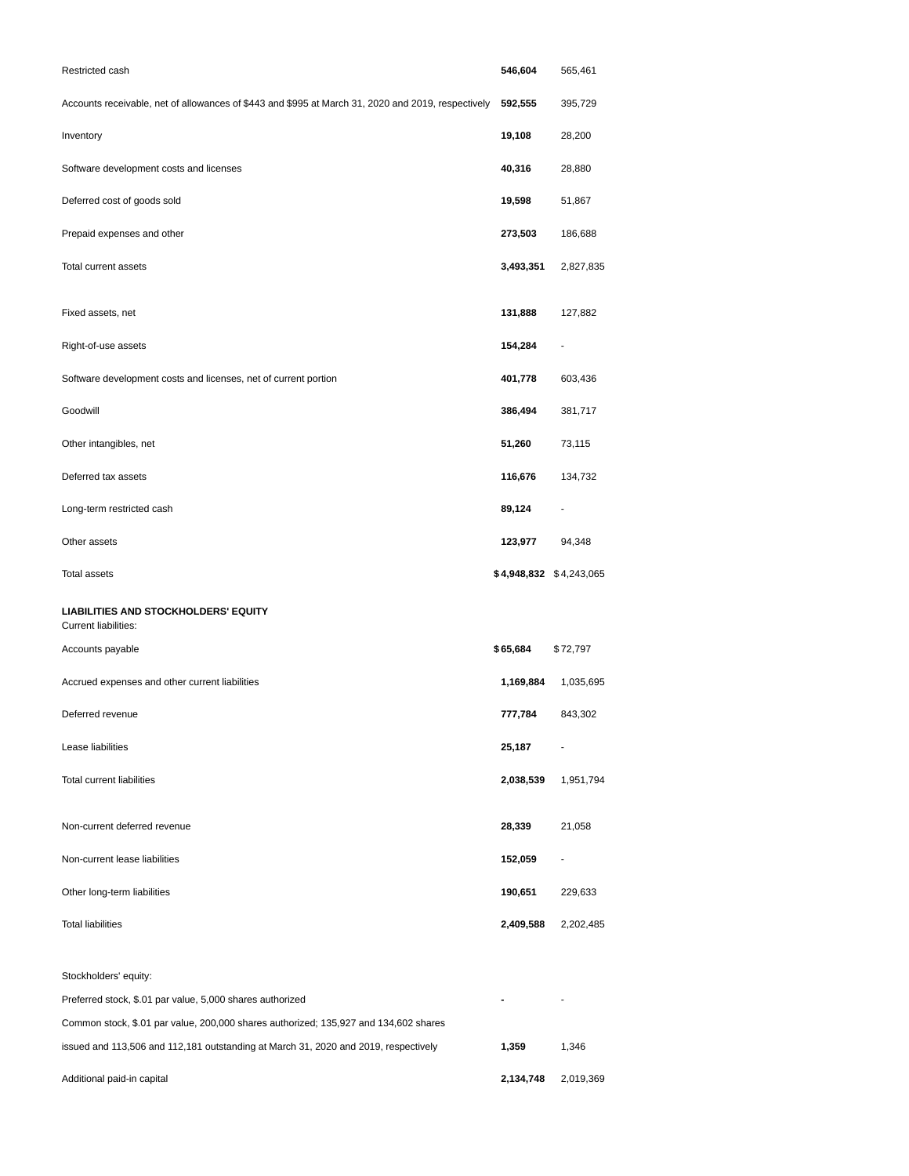| Restricted cash                                                                                    | 546,604                 | 565,461   |
|----------------------------------------------------------------------------------------------------|-------------------------|-----------|
| Accounts receivable, net of allowances of \$443 and \$995 at March 31, 2020 and 2019, respectively | 592,555                 | 395,729   |
| Inventory                                                                                          | 19,108                  | 28,200    |
| Software development costs and licenses                                                            | 40,316                  | 28,880    |
| Deferred cost of goods sold                                                                        | 19,598                  | 51,867    |
| Prepaid expenses and other                                                                         | 273,503                 | 186,688   |
| <b>Total current assets</b>                                                                        | 3,493,351               | 2,827,835 |
| Fixed assets, net                                                                                  | 131,888                 | 127,882   |
| Right-of-use assets                                                                                | 154,284                 |           |
| Software development costs and licenses, net of current portion                                    | 401,778                 | 603,436   |
| Goodwill                                                                                           | 386,494                 | 381,717   |
| Other intangibles, net                                                                             | 51,260                  | 73,115    |
| Deferred tax assets                                                                                | 116,676                 | 134,732   |
| Long-term restricted cash                                                                          | 89,124                  |           |
| Other assets                                                                                       | 123,977                 | 94,348    |
| <b>Total assets</b>                                                                                | \$4,948,832 \$4,243,065 |           |
| <b>LIABILITIES AND STOCKHOLDERS' EQUITY</b><br><b>Current liabilities:</b>                         |                         |           |
| Accounts payable                                                                                   | \$65,684                | \$72,797  |
| Accrued expenses and other current liabilities                                                     | 1,169,884               | 1,035,695 |
| Deferred revenue                                                                                   | 777,784                 | 843,302   |
| Lease liabilities                                                                                  | 25,187                  |           |
| Total current liabilities                                                                          | 2,038,539               | 1,951,794 |
| Non-current deferred revenue                                                                       | 28,339                  | 21,058    |
| Non-current lease liabilities                                                                      | 152,059                 |           |
| Other long-term liabilities                                                                        | 190,651                 | 229,633   |
| <b>Total liabilities</b>                                                                           | 2,409,588               | 2,202,485 |
| Stockholders' equity:                                                                              |                         |           |
| Preferred stock, \$.01 par value, 5,000 shares authorized                                          |                         |           |
| Common stock, \$.01 par value, 200,000 shares authorized; 135,927 and 134,602 shares               |                         |           |
| issued and 113,506 and 112,181 outstanding at March 31, 2020 and 2019, respectively                | 1,359                   | 1,346     |
| Additional paid-in capital                                                                         | 2,134,748               | 2,019,369 |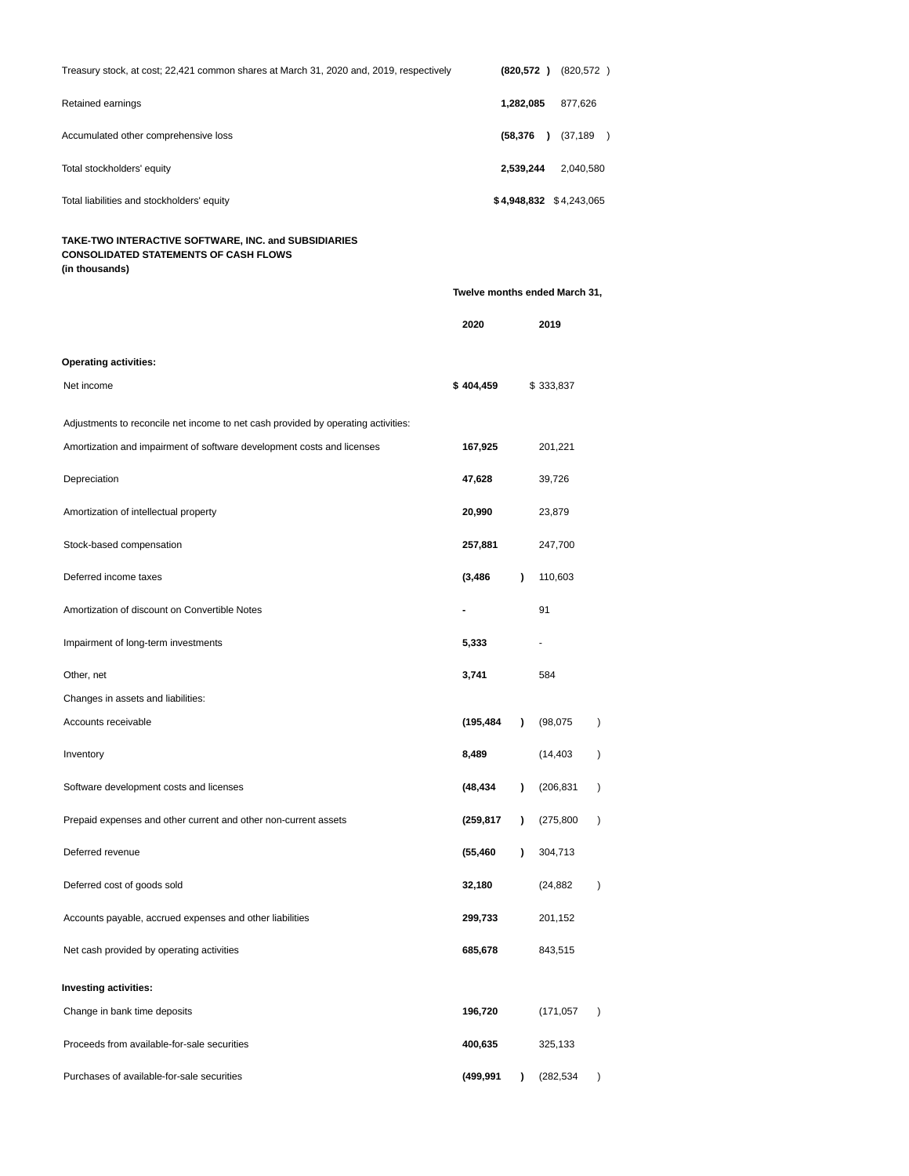| Treasury stock, at cost; 22,421 common shares at March 31, 2020 and, 2019, respectively                                |           |           | $(820,572)$ $(820,572)$       |           |
|------------------------------------------------------------------------------------------------------------------------|-----------|-----------|-------------------------------|-----------|
| Retained earnings                                                                                                      |           | 1,282,085 | 877,626                       |           |
| Accumulated other comprehensive loss                                                                                   |           |           | $(58,376)$ $(37,189)$         |           |
| Total stockholders' equity                                                                                             |           | 2,539,244 | 2,040,580                     |           |
| Total liabilities and stockholders' equity                                                                             |           |           | $$4,948,832 \$4,243,065$      |           |
| TAKE-TWO INTERACTIVE SOFTWARE, INC. and SUBSIDIARIES<br><b>CONSOLIDATED STATEMENTS OF CASH FLOWS</b><br>(in thousands) |           |           |                               |           |
|                                                                                                                        |           |           | Twelve months ended March 31, |           |
|                                                                                                                        | 2020      |           | 2019                          |           |
| <b>Operating activities:</b>                                                                                           |           |           |                               |           |
| Net income                                                                                                             | \$404,459 |           | \$333,837                     |           |
| Adjustments to reconcile net income to net cash provided by operating activities:                                      |           |           |                               |           |
| Amortization and impairment of software development costs and licenses                                                 | 167,925   |           | 201,221                       |           |
| Depreciation                                                                                                           | 47,628    |           | 39,726                        |           |
| Amortization of intellectual property                                                                                  | 20,990    |           | 23,879                        |           |
| Stock-based compensation                                                                                               | 257,881   |           | 247,700                       |           |
| Deferred income taxes                                                                                                  | (3, 486)  | $\lambda$ | 110,603                       |           |
| Amortization of discount on Convertible Notes                                                                          |           |           | 91                            |           |
| Impairment of long-term investments                                                                                    | 5,333     |           | ٠                             |           |
| Other, net                                                                                                             | 3,741     |           | 584                           |           |
| Changes in assets and liabilities:                                                                                     |           |           |                               |           |
| Accounts receivable                                                                                                    | (195,484  |           | (98,075)                      |           |
| Inventory                                                                                                              | 8,489     |           | (14, 403)                     | $\lambda$ |
| Software development costs and licenses                                                                                | (48,434   | $\lambda$ | (206, 831)                    | $\lambda$ |
| Prepaid expenses and other current and other non-current assets                                                        | (259,817  | $\lambda$ | (275, 800)                    | $\lambda$ |
| Deferred revenue                                                                                                       | (55,460   | $\lambda$ | 304,713                       |           |
| Deferred cost of goods sold                                                                                            | 32,180    |           | (24,882)                      | $\lambda$ |
| Accounts payable, accrued expenses and other liabilities                                                               | 299,733   |           | 201,152                       |           |
| Net cash provided by operating activities                                                                              | 685,678   |           | 843,515                       |           |
| Investing activities:                                                                                                  |           |           |                               |           |
| Change in bank time deposits                                                                                           | 196,720   |           | (171, 057)                    | $\lambda$ |
| Proceeds from available-for-sale securities                                                                            | 400,635   |           | 325,133                       |           |
| Purchases of available-for-sale securities                                                                             | (499,991  | 1         | (282,534)                     | $\lambda$ |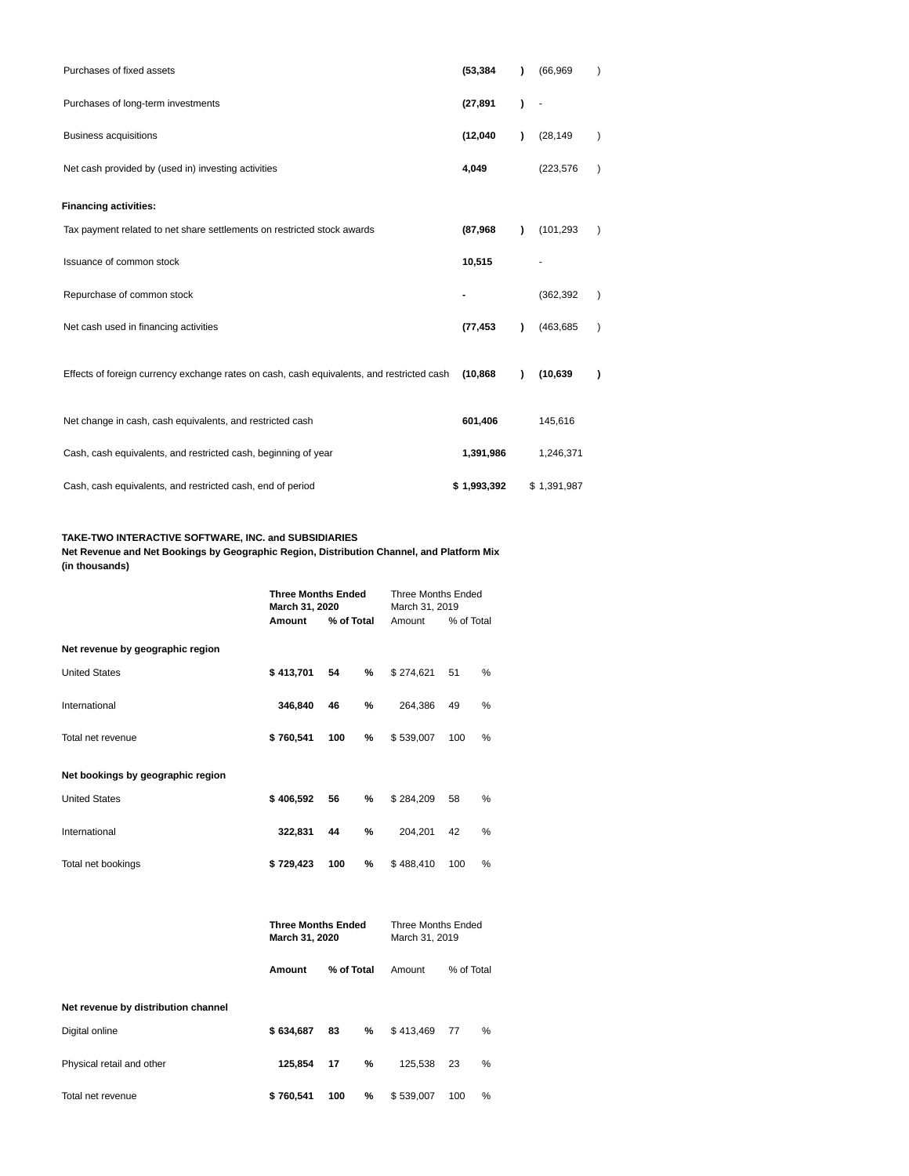| Purchases of fixed assets                                                                 | (53, 384)   | ١ | (66, 969)   |               |
|-------------------------------------------------------------------------------------------|-------------|---|-------------|---------------|
| Purchases of long-term investments                                                        | (27, 891)   | 1 |             |               |
| <b>Business acquisitions</b>                                                              | (12,040)    | 1 | (28, 149)   | $\mathcal{E}$ |
| Net cash provided by (used in) investing activities                                       | 4,049       |   | (223, 576)  | $\lambda$     |
| <b>Financing activities:</b>                                                              |             |   |             |               |
| Tax payment related to net share settlements on restricted stock awards                   | (87, 968)   | 1 | (101, 293)  |               |
| Issuance of common stock                                                                  | 10,515      |   |             |               |
| Repurchase of common stock                                                                |             |   | (362, 392)  | $\lambda$     |
| Net cash used in financing activities                                                     | (77, 453)   | Υ | (463,685    | $\lambda$     |
| Effects of foreign currency exchange rates on cash, cash equivalents, and restricted cash | (10, 868)   | Υ | (10, 639)   | $\lambda$     |
| Net change in cash, cash equivalents, and restricted cash                                 | 601,406     |   | 145,616     |               |
| Cash, cash equivalents, and restricted cash, beginning of year                            | 1,391,986   |   | 1,246,371   |               |
| Cash, cash equivalents, and restricted cash, end of period                                | \$1,993,392 |   | \$1,391,987 |               |

## **TAKE-TWO INTERACTIVE SOFTWARE, INC. and SUBSIDIARIES**

**Net Revenue and Net Bookings by Geographic Region, Distribution Channel, and Platform Mix (in thousands)**

|                                   | <b>Three Months Ended</b><br>March 31, 2019 |            |     |                                             |            |   |  |  |
|-----------------------------------|---------------------------------------------|------------|-----|---------------------------------------------|------------|---|--|--|
|                                   | Amount                                      | % of Total |     | Amount                                      | % of Total |   |  |  |
| Net revenue by geographic region  |                                             |            |     |                                             |            |   |  |  |
| <b>United States</b>              | \$413,701                                   | 54         | %   | \$274,621                                   | 51         | % |  |  |
| International                     | 346,840                                     | 46         | %   | 264,386                                     | 49         | % |  |  |
| Total net revenue                 | \$760,541                                   | \$539,007  | 100 | %                                           |            |   |  |  |
| Net bookings by geographic region |                                             |            |     |                                             |            |   |  |  |
| <b>United States</b>              | \$406,592                                   | 56         | %   | \$284,209                                   | 58         | % |  |  |
| International                     | 322,831                                     | 204.201    | 42  | %                                           |            |   |  |  |
| Total net bookings                | \$729,423                                   | 100        | %   | \$488.410                                   | 100        | % |  |  |
|                                   |                                             |            |     |                                             |            |   |  |  |
|                                   | <b>Three Months Ended</b><br>March 31, 2020 |            |     | <b>Three Months Ended</b><br>March 31, 2019 |            |   |  |  |

| Net revenue by distribution channel |           |     |   |           |     |   |  |
|-------------------------------------|-----------|-----|---|-----------|-----|---|--|
| Digital online                      | \$634,687 | 83  | % | \$413,469 | -77 | % |  |
| Physical retail and other           | 125.854   | 17  | % | 125.538   | 23  | % |  |
| Total net revenue                   | \$760,541 | 100 | % | \$539,007 | 100 | % |  |

**Amount % of Total** Amount % of Total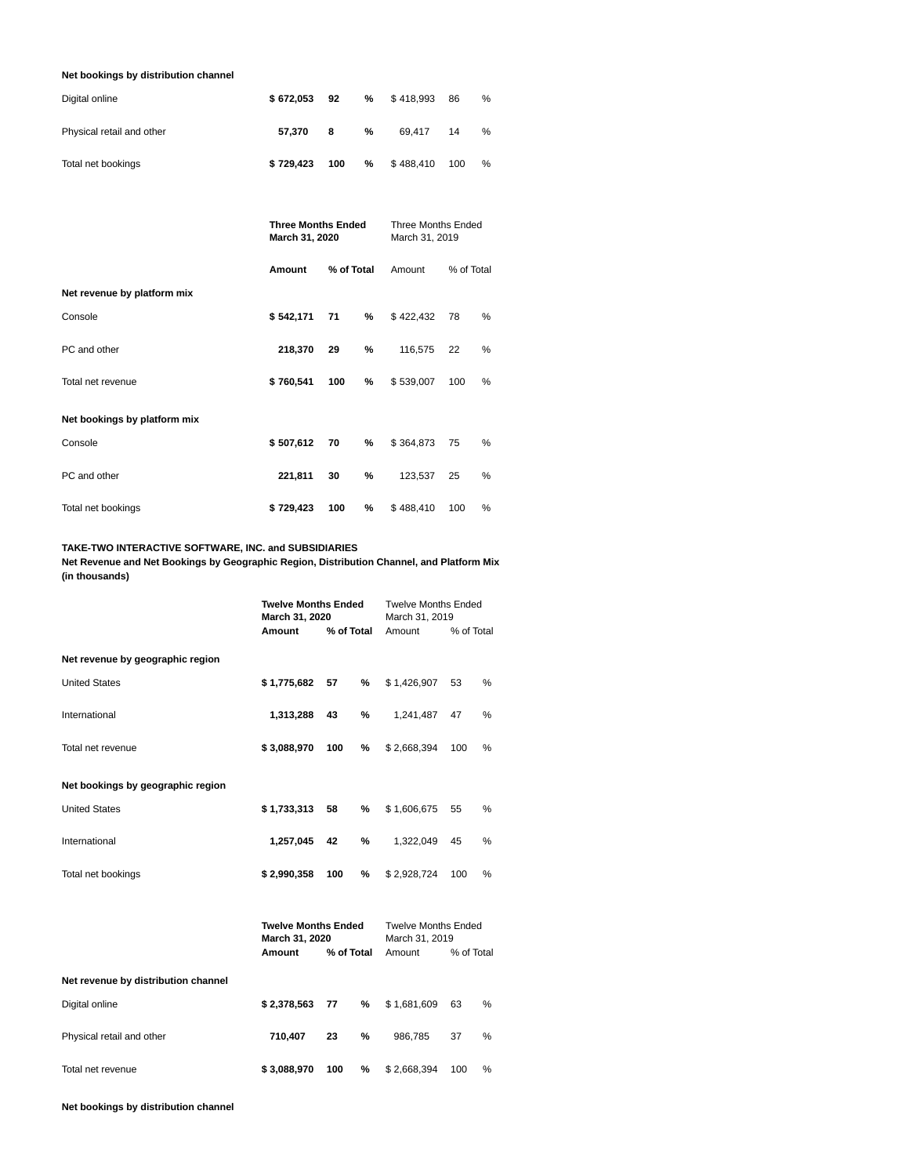# **Net bookings by distribution channel**

| Digital online            | \$672.053 | 92  | % | \$418.993 | 86  | % |
|---------------------------|-----------|-----|---|-----------|-----|---|
| Physical retail and other | 57.370    | 8   | % | 69.417    | 14  | % |
| Total net bookings        | \$729.423 | 100 | % | \$488,410 | 100 | % |

|                              | <b>Three Months Ended</b><br>March 31, 2020 | <b>Three Months Ended</b><br>March 31, 2019 |            |           |     |   |
|------------------------------|---------------------------------------------|---------------------------------------------|------------|-----------|-----|---|
|                              | Amount                                      | Amount                                      | % of Total |           |     |   |
| Net revenue by platform mix  |                                             |                                             |            |           |     |   |
| Console                      | \$542,171<br>%<br>71                        |                                             |            | \$422,432 | 78  | % |
| PC and other                 | 218,370                                     | 116,575                                     | 22         | %         |     |   |
| Total net revenue            | \$760,541                                   | 100                                         | %          | \$539,007 | 100 | % |
| Net bookings by platform mix |                                             |                                             |            |           |     |   |
| Console                      | \$507,612                                   | 70                                          | %          | \$364,873 | 75  | % |
| PC and other                 | 221,811<br>%<br>30                          |                                             |            | 123,537   | 25  | % |
| Total net bookings           | \$729,423<br>100                            |                                             |            | \$488,410 | 100 | % |

# **TAKE-TWO INTERACTIVE SOFTWARE, INC. and SUBSIDIARIES**

**Net Revenue and Net Bookings by Geographic Region, Distribution Channel, and Platform Mix (in thousands)**

|                                     | <b>Twelve Months Ended</b><br><b>Twelve Months Ended</b><br>March 31, 2020<br>March 31, 2019 |            |        |                                              |            |               |  |
|-------------------------------------|----------------------------------------------------------------------------------------------|------------|--------|----------------------------------------------|------------|---------------|--|
|                                     | Amount                                                                                       | % of Total | Amount | % of Total                                   |            |               |  |
| Net revenue by geographic region    |                                                                                              |            |        |                                              |            |               |  |
| <b>United States</b>                | \$1,775,682                                                                                  | 57         | %      | \$1,426,907                                  | 53         | %             |  |
| International                       | 1,313,288                                                                                    | 43         | %      | 1,241,487                                    | 47         | %             |  |
| Total net revenue                   | \$3,088,970                                                                                  | 100        | %      | \$2,668,394                                  | 100        | $\%$          |  |
| Net bookings by geographic region   |                                                                                              |            |        |                                              |            |               |  |
| <b>United States</b>                | \$1,733,313                                                                                  | 58         | %      | \$1,606,675                                  | 55         | %             |  |
| International                       | 1,257,045                                                                                    | 42         | %      | 1,322,049                                    | 45         | %             |  |
| Total net bookings                  | \$2,990,358                                                                                  | 100        | %      | \$2,928,724                                  | 100        | %             |  |
|                                     | <b>Twelve Months Ended</b><br>March 31, 2020                                                 |            |        | <b>Twelve Months Ended</b><br>March 31, 2019 |            |               |  |
|                                     | Amount                                                                                       | % of Total |        | Amount                                       | % of Total |               |  |
| Net revenue by distribution channel |                                                                                              |            |        |                                              |            |               |  |
| Digital online                      | \$2,378,563                                                                                  | 77         | %      | \$1,681,609                                  | 63         | $\frac{0}{0}$ |  |
| Physical retail and other           | 710,407                                                                                      | 23         | %      | 986,785                                      | 37         | $\%$          |  |
| Total net revenue                   | \$3,088,970                                                                                  | 100        | %      | \$2,668,394                                  | 100        | %             |  |

**Net bookings by distribution channel**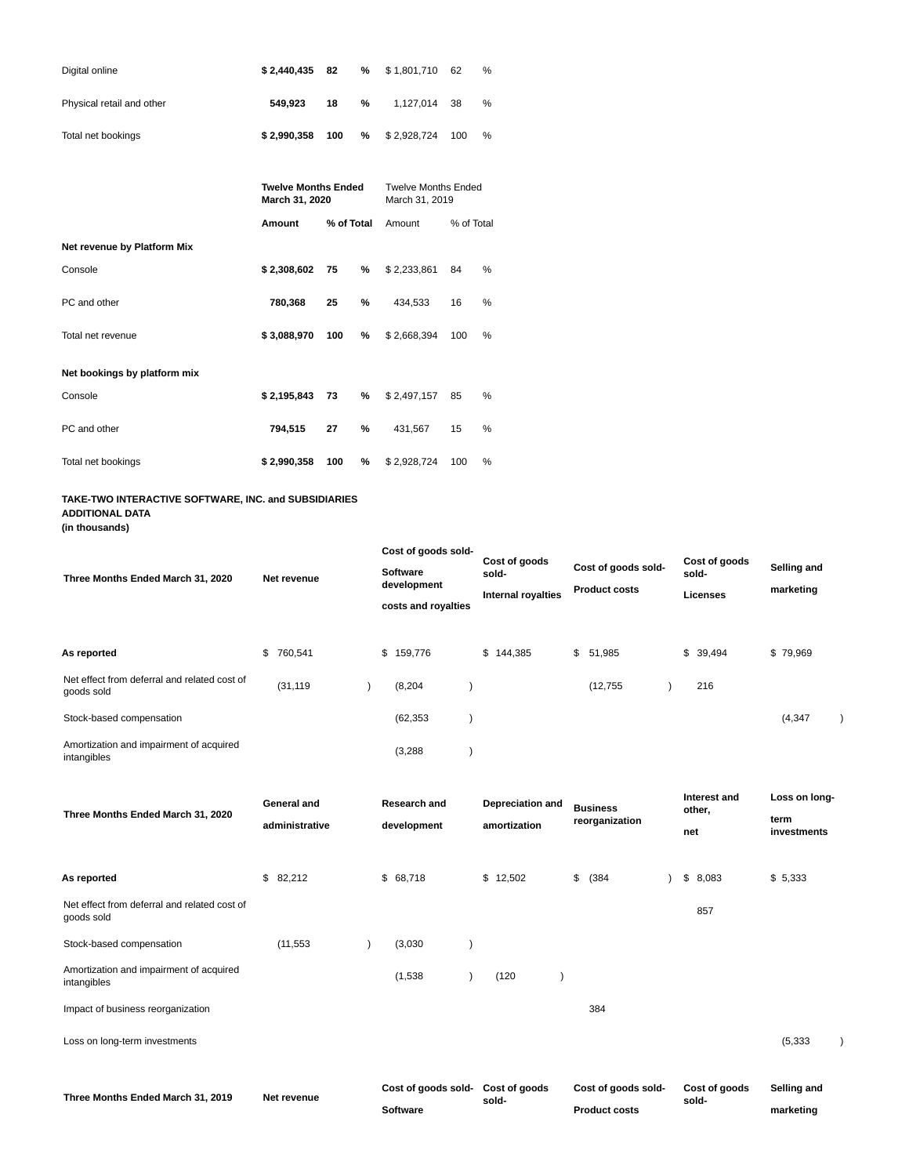| Digital online            | \$2,440,435 | - 82 |   | % \$1,801,710 62 |     | % |
|---------------------------|-------------|------|---|------------------|-----|---|
| Physical retail and other | 549.923     | 18   | % | 1.127.014 38     |     | % |
| Total net bookings        | \$2.990.358 | 100  |   | $%$ \$ 2,928,724 | 100 | % |

|                              | <b>Twelve Months Ended</b><br>March 31, 2020 |         | <b>Twelve Months Ended</b><br>March 31, 2019 |             |     |   |  |  |  |
|------------------------------|----------------------------------------------|---------|----------------------------------------------|-------------|-----|---|--|--|--|
|                              | Amount                                       | Amount  | % of Total                                   |             |     |   |  |  |  |
| Net revenue by Platform Mix  |                                              |         |                                              |             |     |   |  |  |  |
| Console                      | \$2,308,602<br>75<br>%                       |         | \$2,233,861                                  | 84          | %   |   |  |  |  |
| PC and other                 | 780,368                                      | %<br>25 |                                              | 434,533     | 16  | % |  |  |  |
| Total net revenue            | \$3,088,970                                  | 100     | %                                            | \$2,668,394 | 100 | % |  |  |  |
| Net bookings by platform mix |                                              |         |                                              |             |     |   |  |  |  |
| Console                      | \$2,195,843                                  | 73      | %                                            | \$2,497,157 | 85  | % |  |  |  |
| PC and other                 | 794,515                                      | %<br>27 |                                              | 431,567     | 15  | % |  |  |  |
| Total net bookings           | \$2,990,358<br>100                           |         | %                                            | \$2,928,724 | 100 | % |  |  |  |

# **TAKE-TWO INTERACTIVE SOFTWARE, INC. and SUBSIDIARIES ADDITIONAL DATA**

**(in thousands)**

| Three Months Ended March 31, 2020                          | Net revenue   | Cost of goods sold-<br><b>Software</b><br>development<br>costs and royalties | Cost of goods<br>sold-<br><b>Internal royalties</b> | Cost of goods sold-<br><b>Product costs</b> | Cost of goods<br>sold-<br><b>Licenses</b> | Selling and<br>marketing |  |
|------------------------------------------------------------|---------------|------------------------------------------------------------------------------|-----------------------------------------------------|---------------------------------------------|-------------------------------------------|--------------------------|--|
| As reported                                                | \$<br>760,541 | \$159,776                                                                    | \$144,385                                           | \$<br>51,985                                | \$39,494                                  | \$79,969                 |  |
| Net effect from deferral and related cost of<br>goods sold | (31, 119)     | (8, 204)                                                                     |                                                     | (12, 755)                                   | 216                                       |                          |  |
| Stock-based compensation                                   |               | (62, 353)                                                                    |                                                     |                                             |                                           | (4, 347)                 |  |
| Amortization and impairment of acquired<br>intangibles     |               | (3,288)                                                                      |                                                     |                                             |                                           |                          |  |

| Three Months Ended March 31, 2020                          | General and<br>administrative | Research and<br>development | <b>Depreciation and</b><br>amortization | <b>Business</b><br>reorganization | Interest and<br>other,<br>net | Loss on long-<br>term<br>investments |
|------------------------------------------------------------|-------------------------------|-----------------------------|-----------------------------------------|-----------------------------------|-------------------------------|--------------------------------------|
| As reported                                                | \$82,212                      | \$68,718                    | \$12,502                                | \$<br>(384)                       | \$8,083                       | \$5,333                              |
| Net effect from deferral and related cost of<br>goods sold |                               |                             |                                         |                                   | 857                           |                                      |
| Stock-based compensation                                   | (11, 553)                     | (3,030)                     |                                         |                                   |                               |                                      |
| Amortization and impairment of acquired<br>intangibles     |                               | (1,538)                     | (120)                                   |                                   |                               |                                      |
| Impact of business reorganization                          |                               |                             |                                         | 384                               |                               |                                      |
| Loss on long-term investments                              |                               |                             |                                         |                                   |                               | (5, 333)                             |
|                                                            | Net revenue                   | Cost of goods sold-         | Cost of goods                           | Cost of goods sold-               | Cost of goods                 | Selling and                          |
| Three Months Ended March 31, 2019                          |                               | <b>Software</b>             | sold-                                   | <b>Product costs</b>              | sold-                         | marketing                            |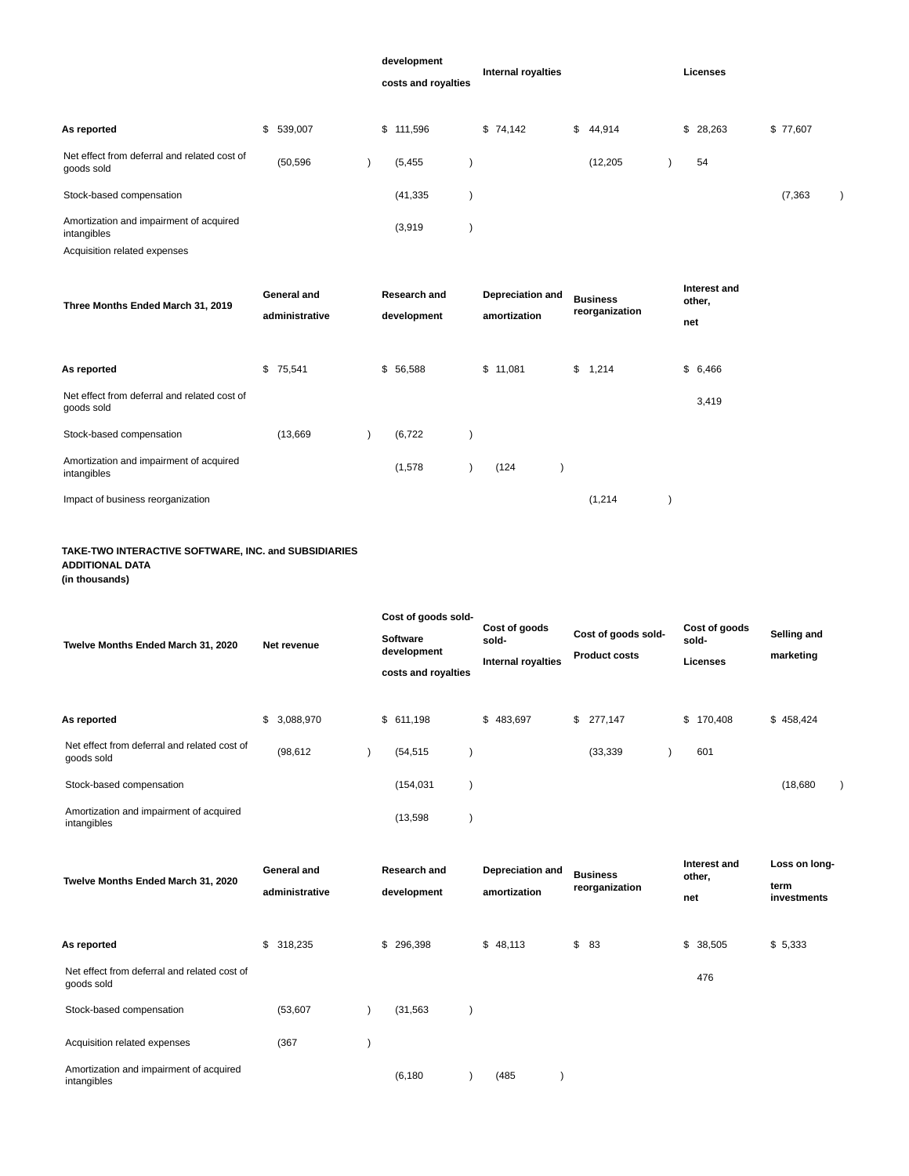|                                                            |                                      |  | development<br>costs and royalties | <b>Internal royalties</b>        |                                   | Licenses                      |          |  |
|------------------------------------------------------------|--------------------------------------|--|------------------------------------|----------------------------------|-----------------------------------|-------------------------------|----------|--|
| As reported                                                | \$539,007                            |  | \$111,596                          | \$74,142                         | \$<br>44,914                      | \$28,263                      | \$77,607 |  |
| Net effect from deferral and related cost of<br>goods sold | (50, 596)                            |  | (5, 455)                           |                                  | (12, 205)                         | 54                            |          |  |
| Stock-based compensation                                   |                                      |  | (41, 335)                          |                                  |                                   |                               | (7, 363) |  |
| Amortization and impairment of acquired<br>intangibles     |                                      |  | (3,919)                            |                                  |                                   |                               |          |  |
| Acquisition related expenses                               |                                      |  |                                    |                                  |                                   |                               |          |  |
| Three Months Ended March 31, 2019                          | <b>General and</b><br>administrative |  | Research and<br>development        | Depreciation and<br>amortization | <b>Business</b><br>reorganization | Interest and<br>other,<br>net |          |  |
| As reported                                                | \$<br>75,541                         |  | \$56,588                           | \$11,081                         | \$<br>1,214                       | \$6,466                       |          |  |
| Net effect from deferral and related cost of<br>goods sold |                                      |  |                                    |                                  |                                   | 3,419                         |          |  |
| Stock-based compensation                                   | (13,669)                             |  | (6, 722)                           |                                  |                                   |                               |          |  |
| Amortization and impairment of acquired<br>intangibles     |                                      |  | (1,578)                            | (124)                            |                                   |                               |          |  |
| Impact of business reorganization                          |                                      |  |                                    |                                  | (1,214)                           |                               |          |  |

# **TAKE-TWO INTERACTIVE SOFTWARE, INC. and SUBSIDIARIES ADDITIONAL DATA**

**(in thousands)**

|                                                            |                    | Cost of goods sold-                |                           |                      |                        |                     |  |
|------------------------------------------------------------|--------------------|------------------------------------|---------------------------|----------------------|------------------------|---------------------|--|
| Twelve Months Ended March 31, 2020                         | Net revenue        | <b>Software</b>                    | Cost of goods<br>sold-    | Cost of goods sold-  | Cost of goods<br>sold- | Selling and         |  |
|                                                            |                    | development<br>costs and royalties | <b>Internal royalties</b> | <b>Product costs</b> | <b>Licenses</b>        | marketing           |  |
|                                                            |                    |                                    |                           |                      |                        |                     |  |
| As reported                                                | \$<br>3,088,970    | \$611,198                          | \$483,697                 | \$277,147            | \$<br>170,408          | \$458,424           |  |
| Net effect from deferral and related cost of<br>goods sold | (98, 612)          | (54, 515)                          |                           | (33, 339)            | 601                    |                     |  |
| Stock-based compensation                                   |                    | (154, 031)                         |                           |                      |                        | (18,680)            |  |
| Amortization and impairment of acquired<br>intangibles     |                    | (13, 598)                          |                           |                      |                        |                     |  |
|                                                            | <b>General and</b> | <b>Research and</b>                | Depreciation and          | <b>Business</b>      | Interest and<br>other, | Loss on long-       |  |
| Twelve Months Ended March 31, 2020                         | administrative     | development                        | amortization              | reorganization       | net                    | term<br>investments |  |
| As reported                                                | \$318,235          | \$296,398                          | \$48.113                  | \$<br>83             | \$<br>38,505           | \$5,333             |  |
| Net effect from deferral and related cost of<br>goods sold |                    |                                    |                           |                      | 476                    |                     |  |
| Stock-based compensation                                   | (53,607)           | (31, 563)                          |                           |                      |                        |                     |  |
| Acquisition related expenses                               | (367)              |                                    |                           |                      |                        |                     |  |
| Amortization and impairment of acquired                    |                    |                                    |                           |                      |                        |                     |  |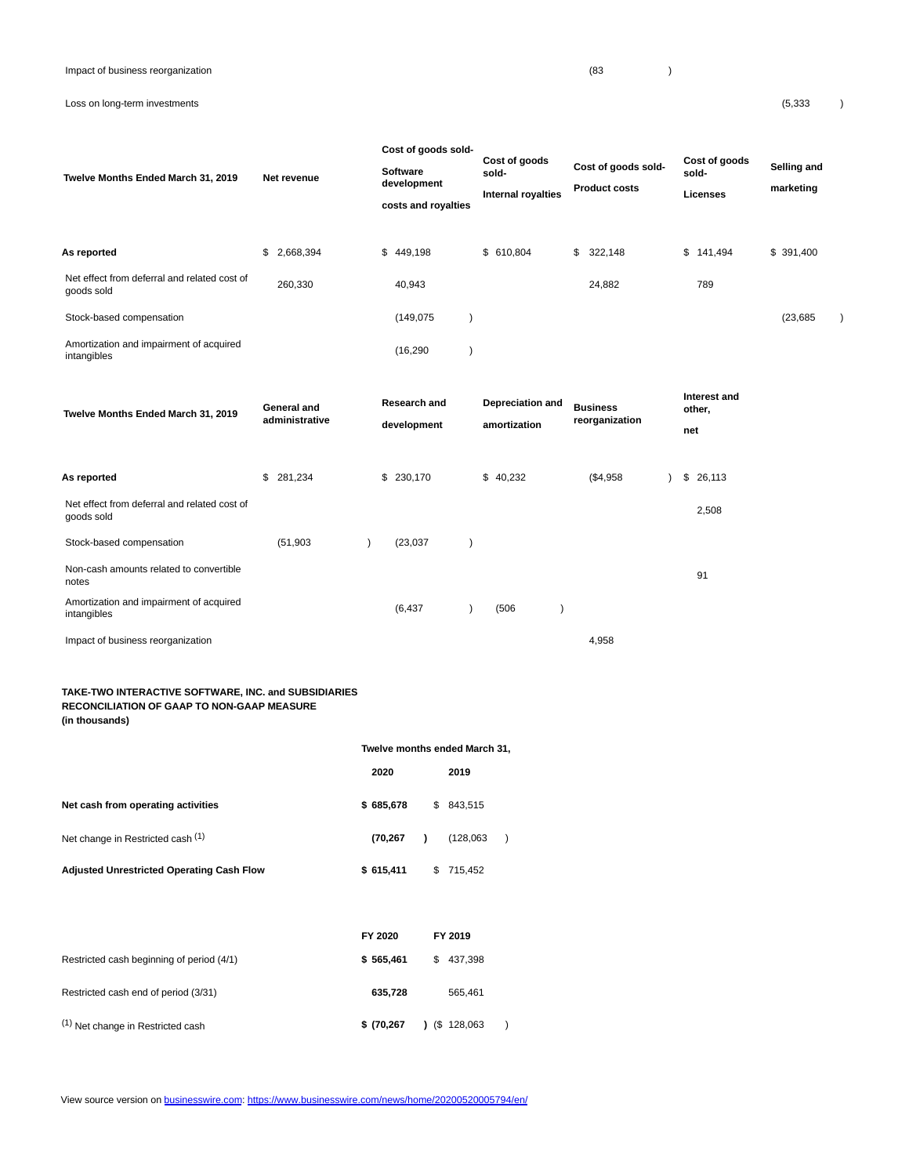# Loss on long-term investments (5,333 )

| Twelve Months Ended March 31, 2019<br>As reported          | Net revenue<br>2,668,394<br>\$       | Cost of goods sold-<br><b>Software</b><br>development<br>costs and royalties<br>\$449,198 | Cost of goods<br>sold-<br><b>Internal royalties</b><br>\$ 610,804 | Cost of goods sold-<br><b>Product costs</b><br>322,148<br>\$ | Cost of goods<br>sold-<br>Licenses<br>\$141,494 | Selling and<br>marketing<br>\$391,400 |
|------------------------------------------------------------|--------------------------------------|-------------------------------------------------------------------------------------------|-------------------------------------------------------------------|--------------------------------------------------------------|-------------------------------------------------|---------------------------------------|
| Net effect from deferral and related cost of<br>goods sold | 260,330                              | 40,943                                                                                    |                                                                   | 24,882                                                       | 789                                             |                                       |
| Stock-based compensation                                   |                                      | (149, 075)                                                                                |                                                                   |                                                              |                                                 | (23, 685)                             |
| Amortization and impairment of acquired<br>intangibles     |                                      | (16, 290)                                                                                 |                                                                   |                                                              |                                                 |                                       |
| Twelve Months Ended March 31, 2019                         | <b>General and</b><br>administrative | <b>Research and</b><br>development                                                        | Depreciation and<br>amortization                                  | <b>Business</b><br>reorganization                            | Interest and<br>other,<br>net                   |                                       |
| As reported                                                | \$281,234                            | \$230,170                                                                                 | \$40,232                                                          | (\$4,958                                                     | \$26,113                                        |                                       |
| Net effect from deferral and related cost of<br>goods sold |                                      |                                                                                           |                                                                   |                                                              | 2,508                                           |                                       |
| Stock-based compensation                                   | (51, 903)                            | (23, 037)                                                                                 |                                                                   |                                                              |                                                 |                                       |
| Non-cash amounts related to convertible<br>notes           |                                      |                                                                                           |                                                                   |                                                              | 91                                              |                                       |
| Amortization and impairment of acquired<br>intangibles     |                                      | (6, 437)                                                                                  | (506)                                                             |                                                              |                                                 |                                       |
| Impact of business reorganization                          |                                      |                                                                                           |                                                                   | 4,958                                                        |                                                 |                                       |

**Twelve months ended March 31,**

## **TAKE-TWO INTERACTIVE SOFTWARE, INC. and SUBSIDIARIES RECONCILIATION OF GAAP TO NON-GAAP MEASURE (in thousands)**

|                                                  | 2020      |              | 2019      |  |
|--------------------------------------------------|-----------|--------------|-----------|--|
| Net cash from operating activities               | \$685,678 |              | \$843,515 |  |
| Net change in Restricted cash (1)                | (70.267   | $\mathbf{r}$ | (128,063) |  |
| <b>Adjusted Unrestricted Operating Cash Flow</b> | \$615,411 |              | \$715.452 |  |

|                                           | FY 2020     | FY 2019        |
|-------------------------------------------|-------------|----------------|
| Restricted cash beginning of period (4/1) | \$565.461   | 437,398<br>\$. |
| Restricted cash end of period (3/31)      | 635.728     | 565.461        |
| (1) Net change in Restricted cash         | \$(70, 267) | $($ \$128,063  |